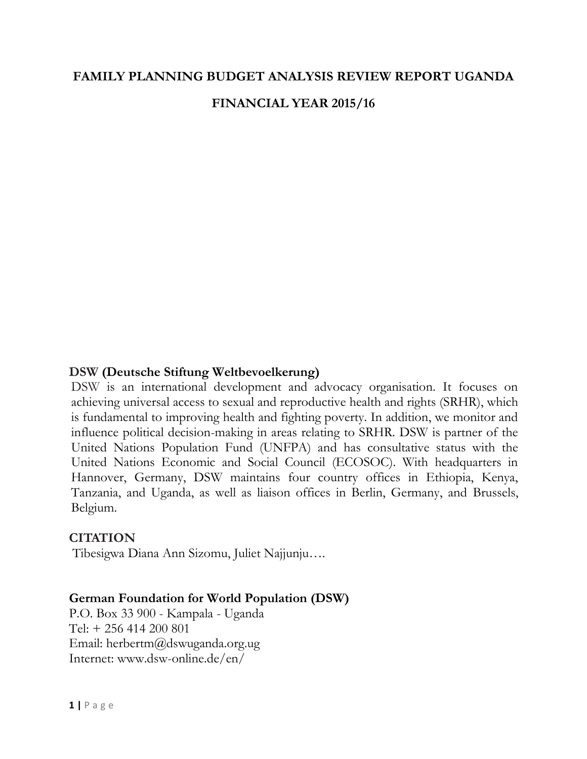# **FAMILY PLANNING BUDGET ANALYSIS REVIEW REPORT UGANDA FINANCIAL YEAR 2015/16**

#### **DSW (Deutsche Stiftung Weltbevoelkerung)**

DSW is an international development and advocacy organisation. It focuses on achieving universal access to sexual and reproductive health and rights (SRHR), which is fundamental to improving health and fighting poverty. In addition, we monitor and influence political decision-making in areas relating to SRHR. DSW is partner of the United Nations Population Fund (UNFPA) and has consultative status with the United Nations Economic and Social Council (ECOSOC). With headquarters in Hannover, Germany, DSW maintains four country offices in Ethiopia, Kenya, Tanzania, and Uganda, as well as liaison offices in Berlin, Germany, and Brussels, Belgium.

#### **CITATION**

Tibesigwa Diana Ann Sizomu, Juliet Najjunju….

#### **German Foundation for World Population (DSW)**

P.O. Box 33 900 - Kampala - Uganda Tel: + 256 414 200 801 Email: herbertm@dswuganda.org.ug Internet: www.dsw-online.de/en/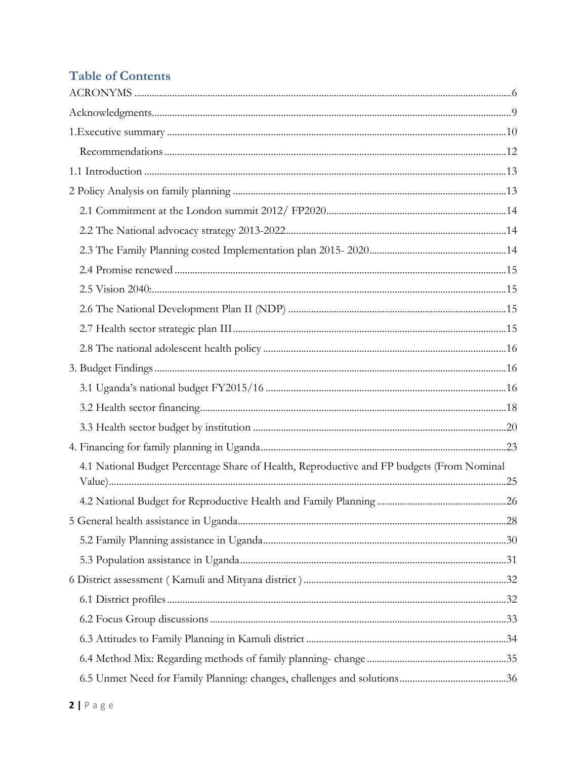# **Table of Contents**

| 4.1 National Budget Percentage Share of Health, Reproductive and FP budgets (From Nominal |  |
|-------------------------------------------------------------------------------------------|--|
|                                                                                           |  |
|                                                                                           |  |
|                                                                                           |  |
|                                                                                           |  |
|                                                                                           |  |
|                                                                                           |  |
|                                                                                           |  |
|                                                                                           |  |
|                                                                                           |  |
|                                                                                           |  |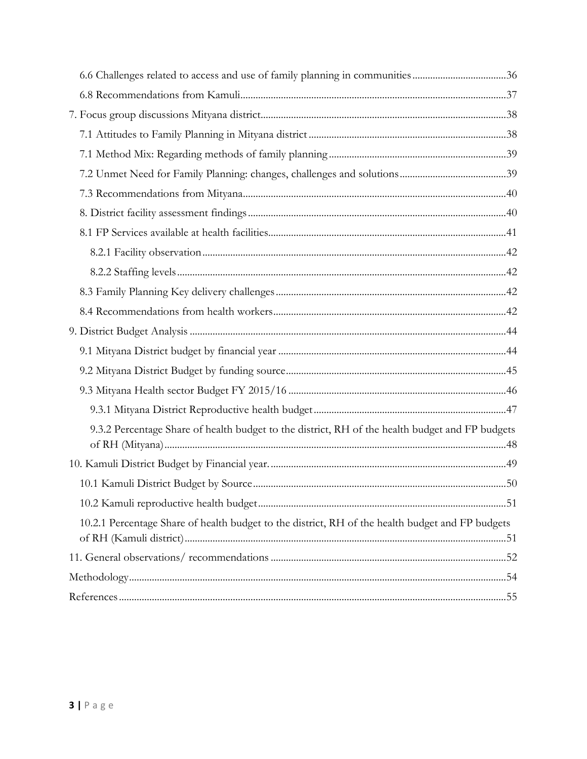| 9.3.2 Percentage Share of health budget to the district, RH of the health budget and FP budgets  |  |
|--------------------------------------------------------------------------------------------------|--|
|                                                                                                  |  |
|                                                                                                  |  |
|                                                                                                  |  |
| 10.2.1 Percentage Share of health budget to the district, RH of the health budget and FP budgets |  |
|                                                                                                  |  |
|                                                                                                  |  |
|                                                                                                  |  |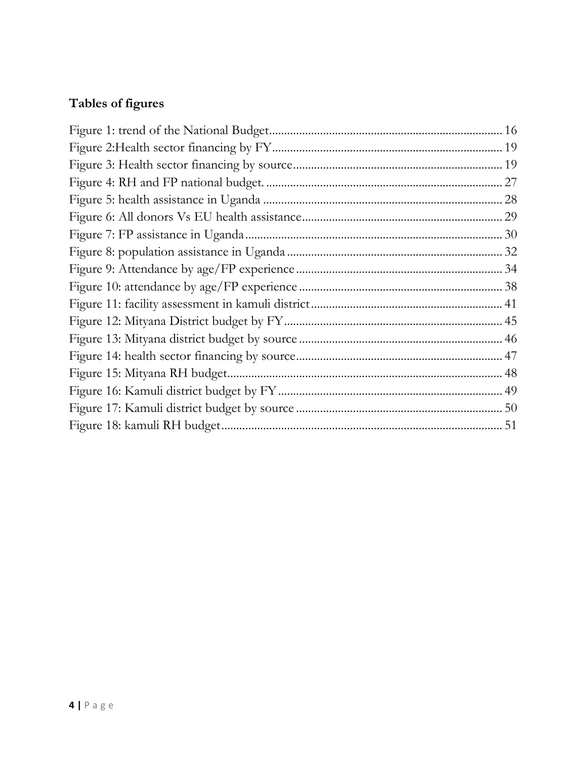# **Tables of figures**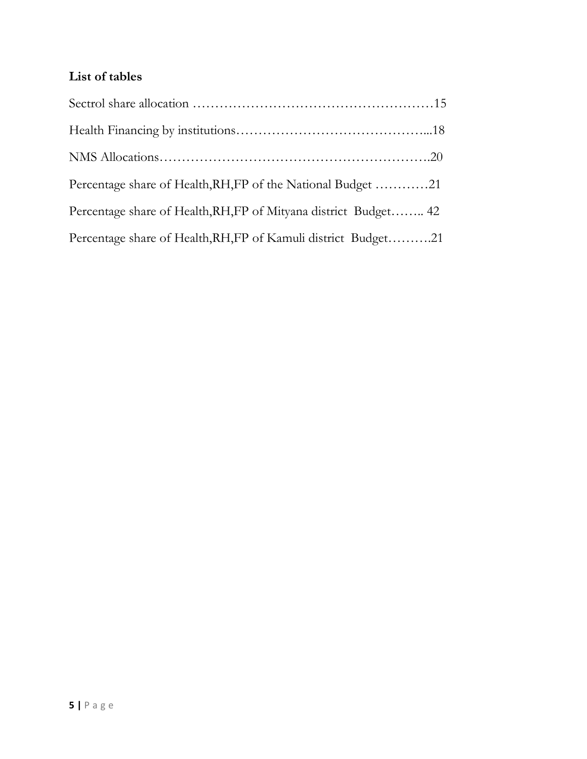# **List of tables**

| Percentage share of Health, RH, FP of the National Budget 21     |  |
|------------------------------------------------------------------|--|
| Percentage share of Health, RH, FP of Mityana district Budget 42 |  |
| Percentage share of Health, RH, FP of Kamuli district Budget21   |  |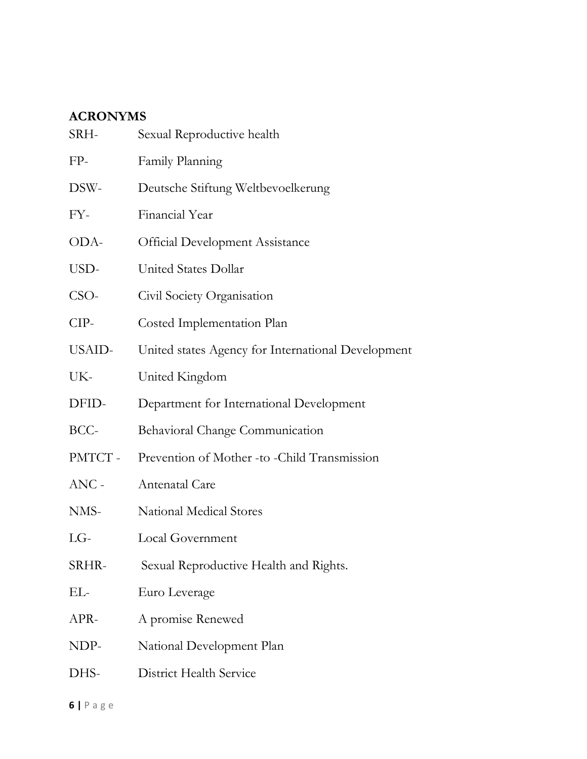## <span id="page-5-0"></span>**ACRONYMS**

| SRH-    | Sexual Reproductive health                         |
|---------|----------------------------------------------------|
| FP-     | Family Planning                                    |
| DSW-    | Deutsche Stiftung Weltbevoelkerung                 |
| FY-     | Financial Year                                     |
| ODA-    | <b>Official Development Assistance</b>             |
| USD-    | United States Dollar                               |
| CSO-    | Civil Society Organisation                         |
| CIP-    | Costed Implementation Plan                         |
| USAID-  | United states Agency for International Development |
| UK-     | United Kingdom                                     |
| DFID-   | Department for International Development           |
| BCC-    | Behavioral Change Communication                    |
| PMTCT-  | Prevention of Mother -to -Child Transmission       |
| $ANC -$ | Antenatal Care                                     |
| NMS-    | National Medical Stores                            |
| $LG-$   | Local Government                                   |
| SRHR-   | Sexual Reproductive Health and Rights.             |
| EL-     | Euro Leverage                                      |
| APR-    | A promise Renewed                                  |
| NDP-    | National Development Plan                          |
| DHS-    | <b>District Health Service</b>                     |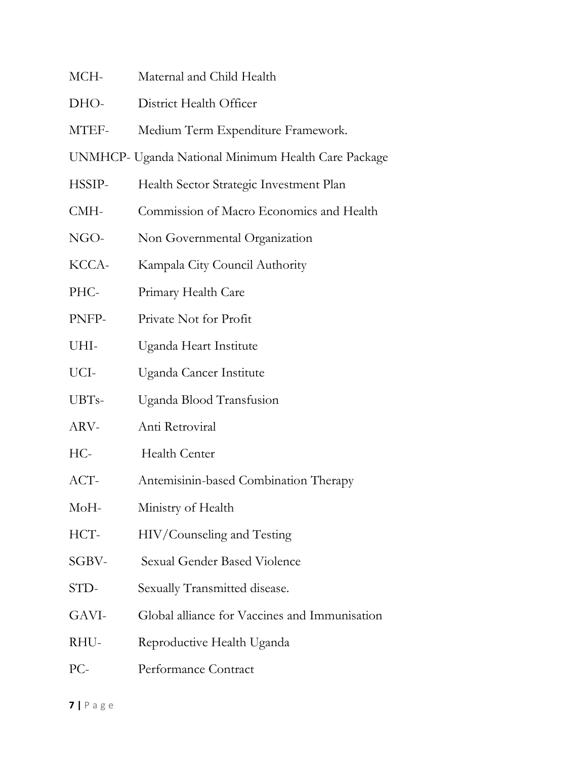- MCH- Maternal and Child Health
- DHO- District Health Officer
- MTEF- Medium Term Expenditure Framework.
- UNMHCP- Uganda National Minimum Health Care Package
- HSSIP- Health Sector Strategic Investment Plan
- CMH- Commission of Macro Economics and Health
- NGO- Non Governmental Organization
- KCCA- Kampala City Council Authority
- PHC- Primary Health Care
- PNFP- Private Not for Profit
- UHI- Uganda Heart Institute
- UCI- Uganda Cancer Institute
- UBTs- Uganda Blood Transfusion
- ARV- Anti Retroviral
- HC- Health Center
- ACT- Antemisinin-based Combination Therapy
- MoH- Ministry of Health
- HCT- HIV/Counseling and Testing
- SGBV- Sexual Gender Based Violence
- STD- Sexually Transmitted disease.
- GAVI- Global alliance for Vaccines and Immunisation
- RHU- Reproductive Health Uganda
- PC- Performance Contract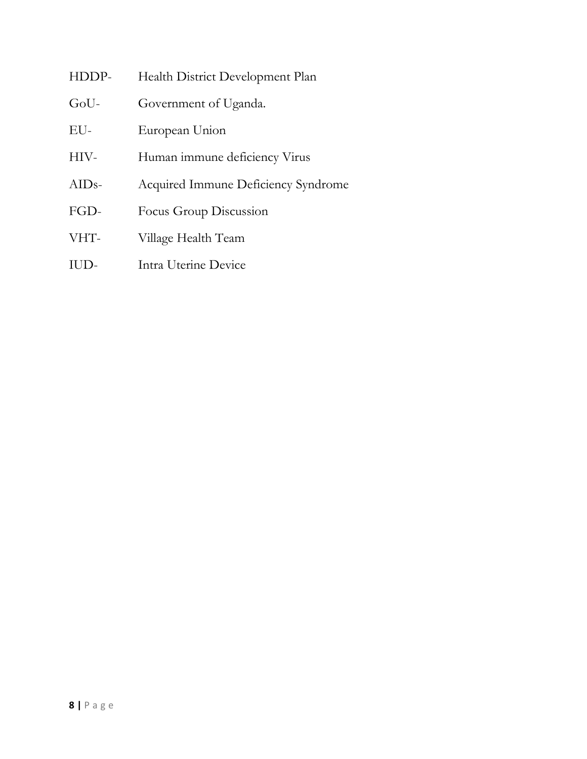| HDDP-   | Health District Development Plan    |
|---------|-------------------------------------|
| GoU-    | Government of Uganda.               |
| EU-     | European Union                      |
| HIV-    | Human immune deficiency Virus       |
| $AIDs-$ | Acquired Immune Deficiency Syndrome |
| FGD-    | Focus Group Discussion              |
| VHT-    | Village Health Team                 |
| IUD-    | Intra Uterine Device                |
|         |                                     |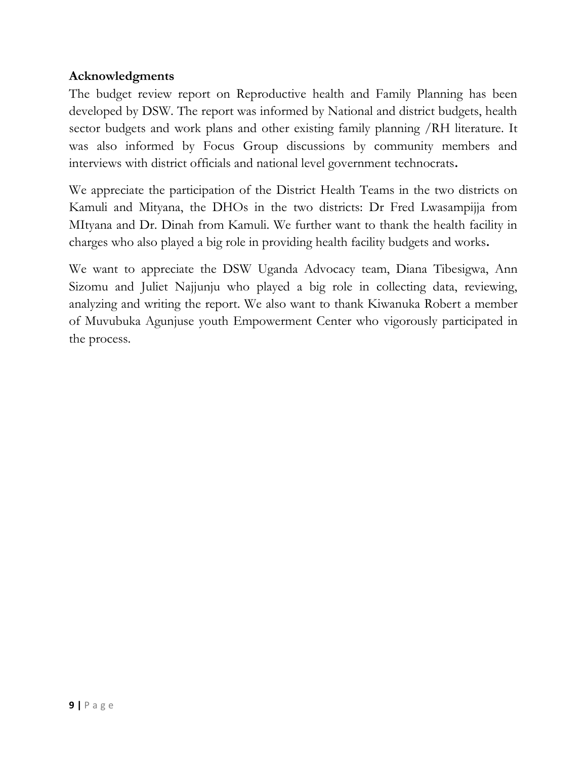#### <span id="page-8-0"></span>**Acknowledgments**

The budget review report on Reproductive health and Family Planning has been developed by DSW. The report was informed by National and district budgets, health sector budgets and work plans and other existing family planning /RH literature. It was also informed by Focus Group discussions by community members and interviews with district officials and national level government technocrats**.** 

We appreciate the participation of the District Health Teams in the two districts on Kamuli and Mityana, the DHOs in the two districts: Dr Fred Lwasampijja from MItyana and Dr. Dinah from Kamuli. We further want to thank the health facility in charges who also played a big role in providing health facility budgets and works**.** 

We want to appreciate the DSW Uganda Advocacy team, Diana Tibesigwa, Ann Sizomu and Juliet Najjunju who played a big role in collecting data, reviewing, analyzing and writing the report. We also want to thank Kiwanuka Robert a member of Muvubuka Agunjuse youth Empowerment Center who vigorously participated in the process.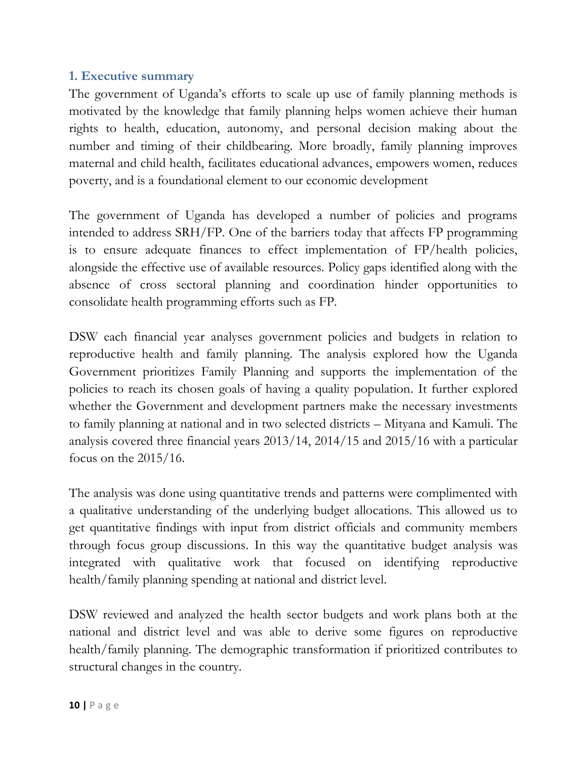#### <span id="page-9-0"></span>**1. Executive summary**

The government of Uganda's efforts to scale up use of family planning methods is motivated by the knowledge that family planning helps women achieve their human rights to health, education, autonomy, and personal decision making about the number and timing of their childbearing. More broadly, family planning improves maternal and child health, facilitates educational advances, empowers women, reduces poverty, and is a foundational element to our economic development

The government of Uganda has developed a number of policies and programs intended to address SRH/FP. One of the barriers today that affects FP programming is to ensure adequate finances to effect implementation of FP/health policies, alongside the effective use of available resources. Policy gaps identified along with the absence of cross sectoral planning and coordination hinder opportunities to consolidate health programming efforts such as FP.

DSW each financial year analyses government policies and budgets in relation to reproductive health and family planning. The analysis explored how the Uganda Government prioritizes Family Planning and supports the implementation of the policies to reach its chosen goals of having a quality population. It further explored whether the Government and development partners make the necessary investments to family planning at national and in two selected districts – Mityana and Kamuli. The analysis covered three financial years 2013/14, 2014/15 and 2015/16 with a particular focus on the 2015/16.

The analysis was done using quantitative trends and patterns were complimented with a qualitative understanding of the underlying budget allocations. This allowed us to get quantitative findings with input from district officials and community members through focus group discussions. In this way the quantitative budget analysis was integrated with qualitative work that focused on identifying reproductive health/family planning spending at national and district level.

DSW reviewed and analyzed the health sector budgets and work plans both at the national and district level and was able to derive some figures on reproductive health/family planning. The demographic transformation if prioritized contributes to structural changes in the country.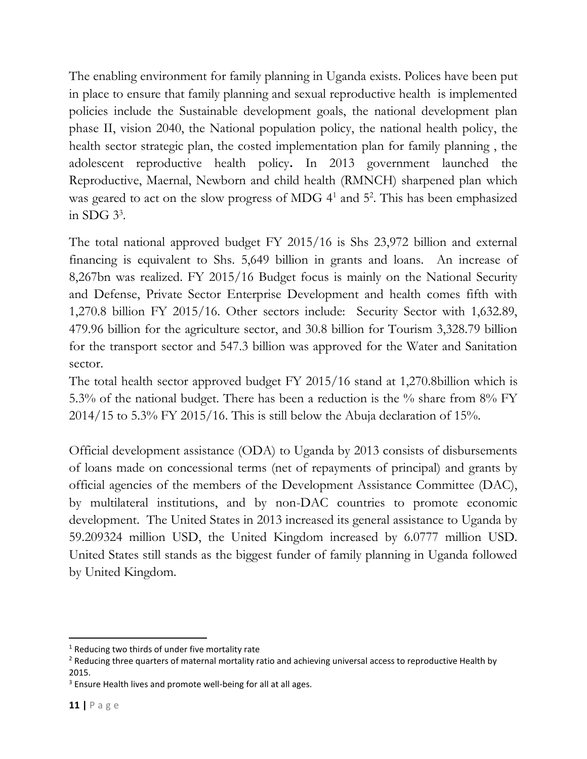The enabling environment for family planning in Uganda exists. Polices have been put in place to ensure that family planning and sexual reproductive health is implemented policies include the Sustainable development goals, the national development plan phase II, vision 2040, the National population policy, the national health policy, the health sector strategic plan, the costed implementation plan for family planning , the adolescent reproductive health policy**.** In 2013 government launched the Reproductive, Maernal, Newborn and child health (RMNCH) sharpened plan which was geared to act on the slow progress of MDG 4<sup>1</sup> and 5<sup>2</sup>. This has been emphasized in SDG  $3^3$ .

The total national approved budget FY 2015/16 is Shs 23,972 billion and external financing is equivalent to Shs. 5,649 billion in grants and loans. An increase of 8,267bn was realized. FY 2015/16 Budget focus is mainly on the National Security and Defense, Private Sector Enterprise Development and health comes fifth with 1,270.8 billion FY 2015/16. Other sectors include: Security Sector with 1,632.89, 479.96 billion for the agriculture sector, and 30.8 billion for Tourism 3,328.79 billion for the transport sector and 547.3 billion was approved for the Water and Sanitation sector.

The total health sector approved budget FY 2015/16 stand at 1,270.8billion which is 5.3% of the national budget. There has been a reduction is the % share from 8% FY 2014/15 to 5.3% FY 2015/16. This is still below the Abuja declaration of 15%.

Official development assistance (ODA) to Uganda by 2013 consists of disbursements of loans made on concessional terms (net of repayments of principal) and grants by official agencies of the members of the Development Assistance Committee (DAC), by multilateral institutions, and by non-DAC countries to promote economic development. The United States in 2013 increased its general assistance to Uganda by 59.209324 million USD, the United Kingdom increased by 6.0777 million USD. United States still stands as the biggest funder of family planning in Uganda followed by United Kingdom.

 $\overline{a}$ 

 $1$  Reducing two thirds of under five mortality rate

<sup>&</sup>lt;sup>2</sup> Reducing three quarters of maternal mortality ratio and achieving universal access to reproductive Health by 2015.

<sup>&</sup>lt;sup>3</sup> Ensure Health lives and promote well-being for all at all ages.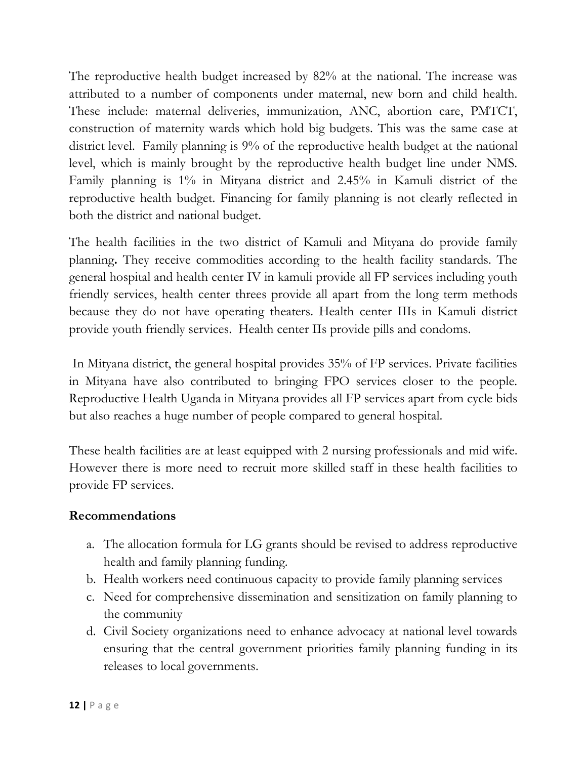The reproductive health budget increased by 82% at the national. The increase was attributed to a number of components under maternal, new born and child health. These include: maternal deliveries, immunization, ANC, abortion care, PMTCT, construction of maternity wards which hold big budgets. This was the same case at district level. Family planning is 9% of the reproductive health budget at the national level, which is mainly brought by the reproductive health budget line under NMS. Family planning is 1% in Mityana district and 2.45% in Kamuli district of the reproductive health budget. Financing for family planning is not clearly reflected in both the district and national budget.

The health facilities in the two district of Kamuli and Mityana do provide family planning**.** They receive commodities according to the health facility standards. The general hospital and health center IV in kamuli provide all FP services including youth friendly services, health center threes provide all apart from the long term methods because they do not have operating theaters. Health center IIIs in Kamuli district provide youth friendly services. Health center IIs provide pills and condoms.

In Mityana district, the general hospital provides 35% of FP services. Private facilities in Mityana have also contributed to bringing FPO services closer to the people. Reproductive Health Uganda in Mityana provides all FP services apart from cycle bids but also reaches a huge number of people compared to general hospital.

These health facilities are at least equipped with 2 nursing professionals and mid wife. However there is more need to recruit more skilled staff in these health facilities to provide FP services.

#### <span id="page-11-0"></span>**Recommendations**

- a. The allocation formula for LG grants should be revised to address reproductive health and family planning funding.
- b. Health workers need continuous capacity to provide family planning services
- c. Need for comprehensive dissemination and sensitization on family planning to the community
- d. Civil Society organizations need to enhance advocacy at national level towards ensuring that the central government priorities family planning funding in its releases to local governments.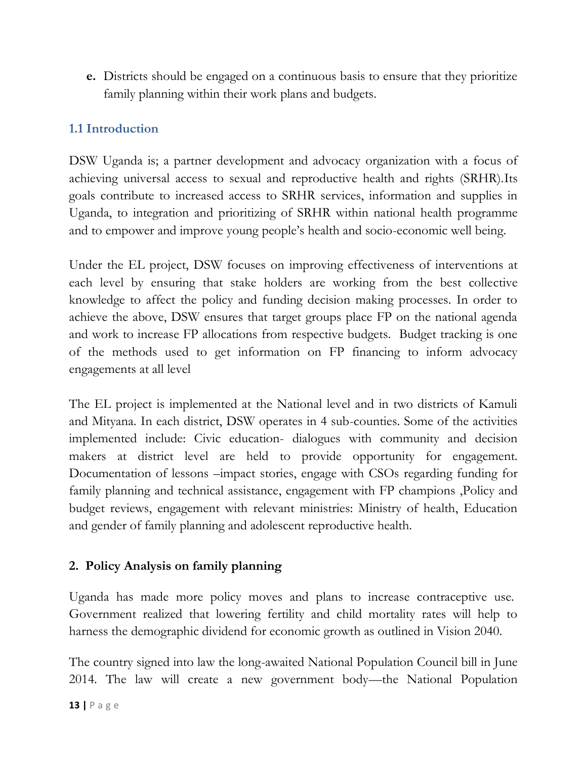**e.** Districts should be engaged on a continuous basis to ensure that they prioritize family planning within their work plans and budgets.

## <span id="page-12-0"></span>**1.1 Introduction**

DSW Uganda is; a partner development and advocacy organization with a focus of achieving universal access to sexual and reproductive health and rights (SRHR).Its goals contribute to increased access to SRHR services, information and supplies in Uganda, to integration and prioritizing of SRHR within national health programme and to empower and improve young people's health and socio-economic well being.

Under the EL project, DSW focuses on improving effectiveness of interventions at each level by ensuring that stake holders are working from the best collective knowledge to affect the policy and funding decision making processes. In order to achieve the above, DSW ensures that target groups place FP on the national agenda and work to increase FP allocations from respective budgets. Budget tracking is one of the methods used to get information on FP financing to inform advocacy engagements at all level

The EL project is implemented at the National level and in two districts of Kamuli and Mityana. In each district, DSW operates in 4 sub-counties. Some of the activities implemented include: Civic education- dialogues with community and decision makers at district level are held to provide opportunity for engagement. Documentation of lessons –impact stories, engage with CSOs regarding funding for family planning and technical assistance, engagement with FP champions ,Policy and budget reviews, engagement with relevant ministries: Ministry of health, Education and gender of family planning and adolescent reproductive health.

#### <span id="page-12-1"></span>**2. Policy Analysis on family planning**

Uganda has made more policy moves and plans to increase contraceptive use. Government realized that lowering fertility and child mortality rates will help to harness the demographic dividend for economic growth as outlined in Vision 2040.

The country signed into law the long-awaited National Population Council bill in June 2014. The law will create a new government body—the National Population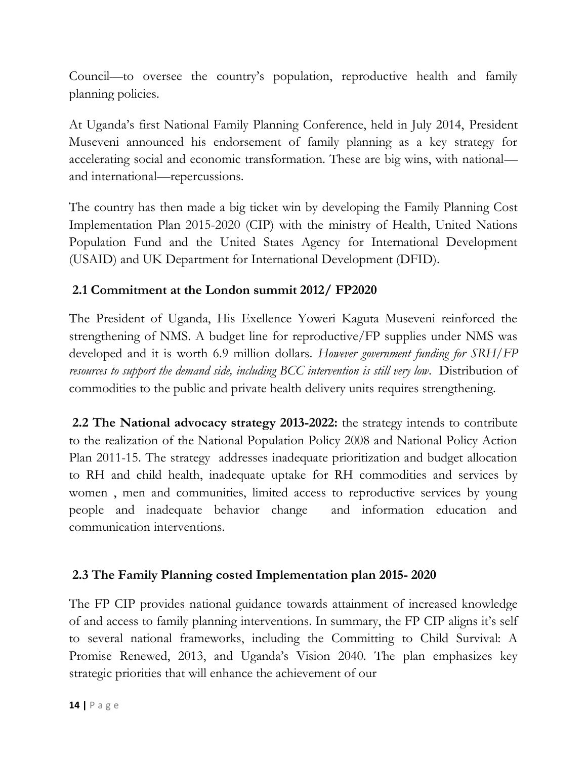Council—to oversee the country's population, reproductive health and family planning policies.

At Uganda's first National Family Planning Conference, held in July 2014, President Museveni announced his endorsement of family planning as a key strategy for accelerating social and economic transformation. These are big wins, with national and international—repercussions.

The country has then made a big ticket win by developing the Family Planning Cost Implementation Plan 2015-2020 (CIP) with the ministry of Health, United Nations Population Fund and the United States Agency for International Development (USAID) and UK Department for International Development (DFID).

## <span id="page-13-0"></span>**2.1 Commitment at the London summit 2012/ FP2020**

The President of Uganda, His Exellence Yoweri Kaguta Museveni reinforced the strengthening of NMS. A budget line for reproductive/FP supplies under NMS was developed and it is worth 6.9 million dollars. *However government funding for SRH/FP resources to support the demand side, including BCC intervention is still very low*. Distribution of commodities to the public and private health delivery units requires strengthening.

<span id="page-13-1"></span>**2.2 The National advocacy strategy 2013-2022:** the strategy intends to contribute to the realization of the National Population Policy 2008 and National Policy Action Plan 2011-15. The strategy addresses inadequate prioritization and budget allocation to RH and child health, inadequate uptake for RH commodities and services by women , men and communities, limited access to reproductive services by young people and inadequate behavior change and information education and communication interventions.

## <span id="page-13-2"></span>**2.3 The Family Planning costed Implementation plan 2015- 2020**

The FP CIP provides national guidance towards attainment of increased knowledge of and access to family planning interventions. In summary, the FP CIP aligns it's self to several national frameworks, including the Committing to Child Survival: A Promise Renewed, 2013, and Uganda's Vision 2040. The plan emphasizes key strategic priorities that will enhance the achievement of our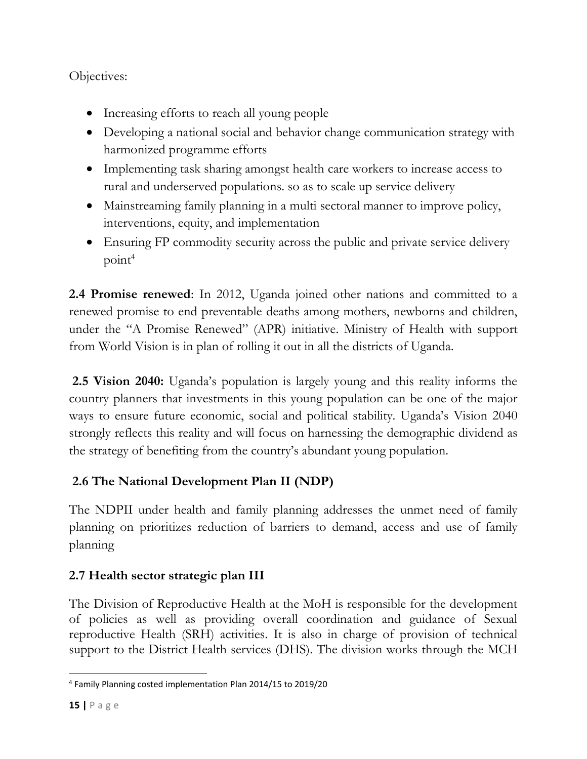Objectives:

- Increasing efforts to reach all young people
- Developing a national social and behavior change communication strategy with harmonized programme efforts
- Implementing task sharing amongst health care workers to increase access to rural and underserved populations. so as to scale up service delivery
- Mainstreaming family planning in a multi sectoral manner to improve policy, interventions, equity, and implementation
- Ensuring FP commodity security across the public and private service delivery  $point<sup>4</sup>$

<span id="page-14-0"></span>**2.4 Promise renewed**: In 2012, Uganda joined other nations and committed to a renewed promise to end preventable deaths among mothers, newborns and children, under the "A Promise Renewed" (APR) initiative. Ministry of Health with support from World Vision is in plan of rolling it out in all the districts of Uganda.

<span id="page-14-1"></span>**2.5 Vision 2040:** Uganda's population is largely young and this reality informs the country planners that investments in this young population can be one of the major ways to ensure future economic, social and political stability. Uganda's Vision 2040 strongly reflects this reality and will focus on harnessing the demographic dividend as the strategy of benefiting from the country's abundant young population.

# <span id="page-14-2"></span>**2.6 The National Development Plan II (NDP)**

The NDPII under health and family planning addresses the unmet need of family planning on prioritizes reduction of barriers to demand, access and use of family planning

# <span id="page-14-3"></span>**2.7 Health sector strategic plan III**

The Division of Reproductive Health at the MoH is responsible for the development of policies as well as providing overall coordination and guidance of Sexual reproductive Health (SRH) activities. It is also in charge of provision of technical support to the District Health services (DHS). The division works through the MCH

 $\overline{\phantom{a}}$ 4 Family Planning costed implementation Plan 2014/15 to 2019/20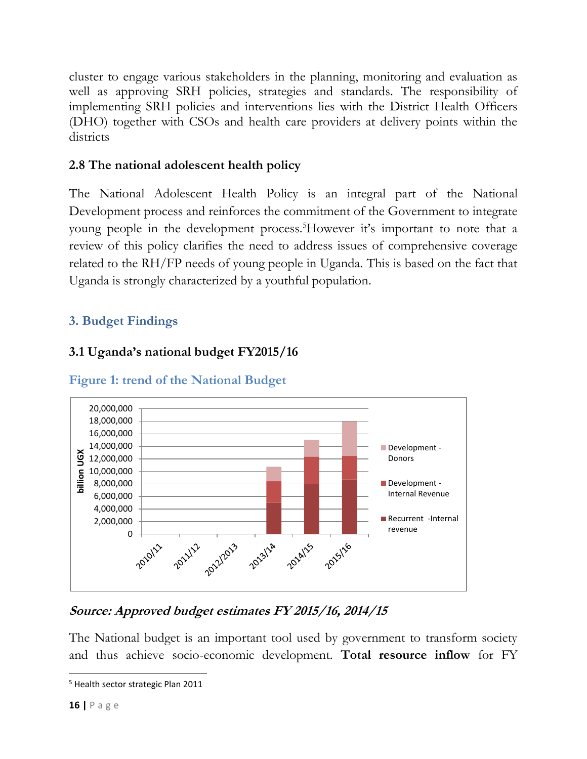cluster to engage various stakeholders in the planning, monitoring and evaluation as well as approving SRH policies, strategies and standards. The responsibility of implementing SRH policies and interventions lies with the District Health Officers (DHO) together with CSOs and health care providers at delivery points within the districts

## <span id="page-15-0"></span>**2.8 The national adolescent health policy**

The National Adolescent Health Policy is an integral part of the National Development process and reinforces the commitment of the Government to integrate young people in the development process.<sup>5</sup>However it's important to note that a review of this policy clarifies the need to address issues of comprehensive coverage related to the RH/FP needs of young people in Uganda. This is based on the fact that Uganda is strongly characterized by a youthful population.

## <span id="page-15-1"></span>**3. Budget Findings**

## <span id="page-15-2"></span>**3.1 Uganda's national budget FY2015/16**



<span id="page-15-3"></span>**Figure 1: trend of the National Budget**

## **Source: Approved budget estimates FY 2015/16, 2014/15**

The National budget is an important tool used by government to transform society and thus achieve socio-economic development. **Total resource inflow** for FY

 $\overline{\phantom{a}}$ <sup>5</sup> Health sector strategic Plan 2011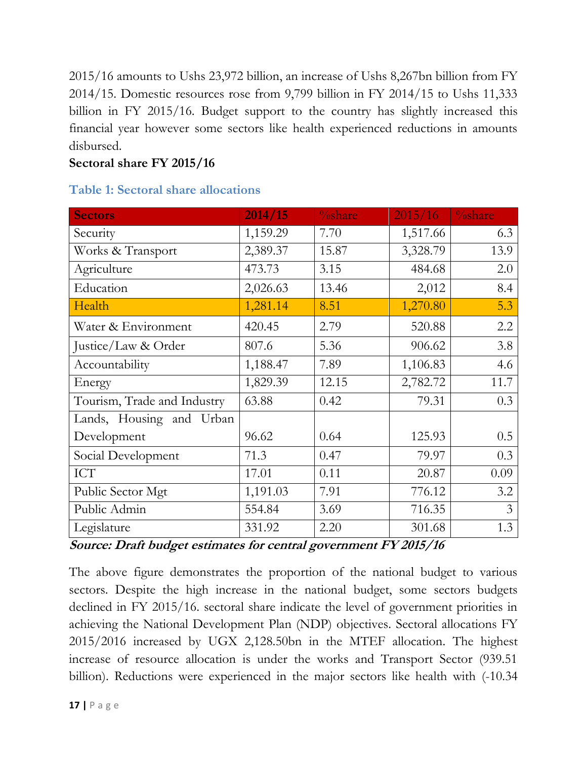2015/16 amounts to Ushs 23,972 billion, an increase of Ushs 8,267bn billion from FY 2014/15. Domestic resources rose from 9,799 billion in FY 2014/15 to Ushs 11,333 billion in FY 2015/16. Budget support to the country has slightly increased this financial year however some sectors like health experienced reductions in amounts disbursed.

## **Sectoral share FY 2015/16**

| <b>Sectors</b>              | 2014/15  | $\%$ share | 2015/16  | $\frac{0}{\text{oshare}}$ |
|-----------------------------|----------|------------|----------|---------------------------|
| Security                    | 1,159.29 | 7.70       | 1,517.66 | 6.3                       |
| Works & Transport           | 2,389.37 | 15.87      | 3,328.79 | 13.9                      |
| Agriculture                 | 473.73   | 3.15       | 484.68   | 2.0                       |
| Education                   | 2,026.63 | 13.46      | 2,012    | 8.4                       |
| Health                      | 1,281.14 | 8.51       | 1,270.80 | 5.3                       |
| Water & Environment         | 420.45   | 2.79       | 520.88   | 2.2                       |
| Justice/Law & Order         | 807.6    | 5.36       | 906.62   | 3.8                       |
| Accountability              | 1,188.47 | 7.89       | 1,106.83 | 4.6                       |
| Energy                      | 1,829.39 | 12.15      | 2,782.72 | 11.7                      |
| Tourism, Trade and Industry | 63.88    | 0.42       | 79.31    | 0.3                       |
| Lands, Housing and Urban    |          |            |          |                           |
| Development                 | 96.62    | 0.64       | 125.93   | 0.5                       |
| Social Development          | 71.3     | 0.47       | 79.97    | 0.3                       |
| <b>ICT</b>                  | 17.01    | 0.11       | 20.87    | 0.09                      |
| Public Sector Mgt           | 1,191.03 | 7.91       | 776.12   | 3.2                       |
| Public Admin                | 554.84   | 3.69       | 716.35   | $\overline{3}$            |
| Legislature                 | 331.92   | 2.20       | 301.68   | 1.3                       |

#### **Table 1: Sectoral share allocations**

**Source: Draft budget estimates for central government FY 2015/16**

The above figure demonstrates the proportion of the national budget to various sectors. Despite the high increase in the national budget, some sectors budgets declined in FY 2015/16. sectoral share indicate the level of government priorities in achieving the National Development Plan (NDP) objectives. Sectoral allocations FY 2015/2016 increased by UGX 2,128.50bn in the MTEF allocation. The highest increase of resource allocation is under the works and Transport Sector (939.51 billion). Reductions were experienced in the major sectors like health with (-10.34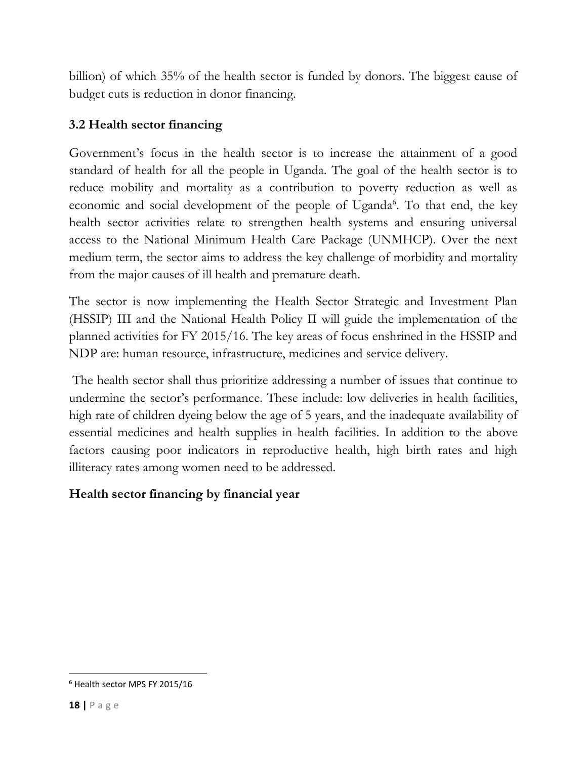billion) of which 35% of the health sector is funded by donors. The biggest cause of budget cuts is reduction in donor financing.

## <span id="page-17-0"></span>**3.2 Health sector financing**

Government's focus in the health sector is to increase the attainment of a good standard of health for all the people in Uganda. The goal of the health sector is to reduce mobility and mortality as a contribution to poverty reduction as well as economic and social development of the people of Uganda<sup>6</sup>. To that end, the key health sector activities relate to strengthen health systems and ensuring universal access to the National Minimum Health Care Package (UNMHCP). Over the next medium term, the sector aims to address the key challenge of morbidity and mortality from the major causes of ill health and premature death.

The sector is now implementing the Health Sector Strategic and Investment Plan (HSSIP) III and the National Health Policy II will guide the implementation of the planned activities for FY 2015/16. The key areas of focus enshrined in the HSSIP and NDP are: human resource, infrastructure, medicines and service delivery.

The health sector shall thus prioritize addressing a number of issues that continue to undermine the sector's performance. These include: low deliveries in health facilities, high rate of children dyeing below the age of 5 years, and the inadequate availability of essential medicines and health supplies in health facilities. In addition to the above factors causing poor indicators in reproductive health, high birth rates and high illiteracy rates among women need to be addressed.

#### **Health sector financing by financial year**

 $\overline{\phantom{a}}$ 

<sup>6</sup> Health sector MPS FY 2015/16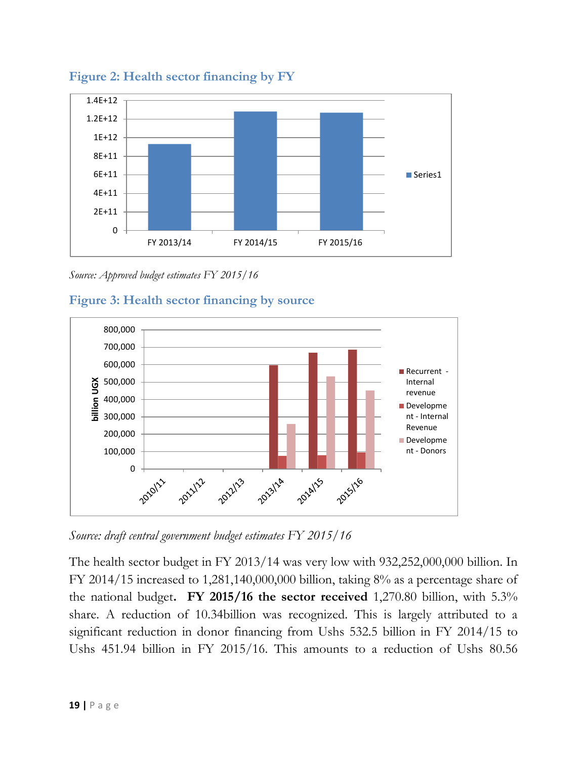

<span id="page-18-0"></span>**Figure 2: Health sector financing by FY**

*Source: Approved budget estimates FY 2015/16*

<span id="page-18-1"></span>



*Source: draft central government budget estimates FY 2015/16*

The health sector budget in FY 2013/14 was very low with 932,252,000,000 billion. In FY 2014/15 increased to 1,281,140,000,000 billion, taking 8% as a percentage share of the national budget**. FY 2015/16 the sector received** 1,270.80 billion, with 5.3% share. A reduction of 10.34billion was recognized. This is largely attributed to a significant reduction in donor financing from Ushs 532.5 billion in FY 2014/15 to Ushs 451.94 billion in FY 2015/16. This amounts to a reduction of Ushs 80.56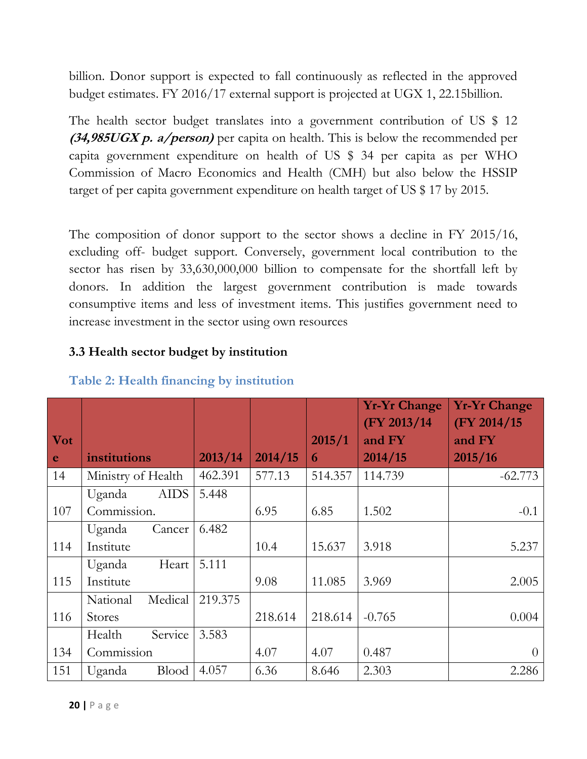billion. Donor support is expected to fall continuously as reflected in the approved budget estimates. FY 2016/17 external support is projected at UGX 1, 22.15billion.

The health sector budget translates into a government contribution of US \$ 12 **(34,985UGX p. a/person)** per capita on health. This is below the recommended per capita government expenditure on health of US \$ 34 per capita as per WHO Commission of Macro Economics and Health (CMH) but also below the HSSIP target of per capita government expenditure on health target of US \$ 17 by 2015.

The composition of donor support to the sector shows a decline in FY 2015/16, excluding off- budget support. Conversely, government local contribution to the sector has risen by 33,630,000,000 billion to compensate for the shortfall left by donors. In addition the largest government contribution is made towards consumptive items and less of investment items. This justifies government need to increase investment in the sector using own resources

#### <span id="page-19-0"></span>**3.3 Health sector budget by institution**

|            |                        |         |         |         | <b>Yr-Yr Change</b><br>(FY 2013/14) | <b>Yr-Yr Change</b><br>(FY 2014/15) |
|------------|------------------------|---------|---------|---------|-------------------------------------|-------------------------------------|
| <b>Vot</b> |                        |         |         | 2015/1  | and FY                              | and FY                              |
| e          | institutions           | 2013/14 | 2014/15 | 6       | 2014/15                             | 2015/16                             |
| 14         | Ministry of Health     | 462.391 | 577.13  | 514.357 | 114.739                             | $-62.773$                           |
|            | <b>AIDS</b><br>Uganda  | 5.448   |         |         |                                     |                                     |
| 107        | Commission.            |         | 6.95    | 6.85    | 1.502                               | $-0.1$                              |
|            | Uganda<br>Cancer       | 6.482   |         |         |                                     |                                     |
| 114        | Institute              |         | 10.4    | 15.637  | 3.918                               | 5.237                               |
|            | Heart<br>Uganda        | 5.111   |         |         |                                     |                                     |
| 115        | Institute              |         | 9.08    | 11.085  | 3.969                               | 2.005                               |
|            | Medical<br>National    | 219.375 |         |         |                                     |                                     |
| 116        | <b>Stores</b>          |         | 218.614 | 218.614 | $-0.765$                            | 0.004                               |
|            | Service<br>Health      | 3.583   |         |         |                                     |                                     |
| 134        | Commission             |         | 4.07    | 4.07    | 0.487                               | $\theta$                            |
| 151        | <b>Blood</b><br>Uganda | 4.057   | 6.36    | 8.646   | 2.303                               | 2.286                               |

#### **Table 2: Health financing by institution**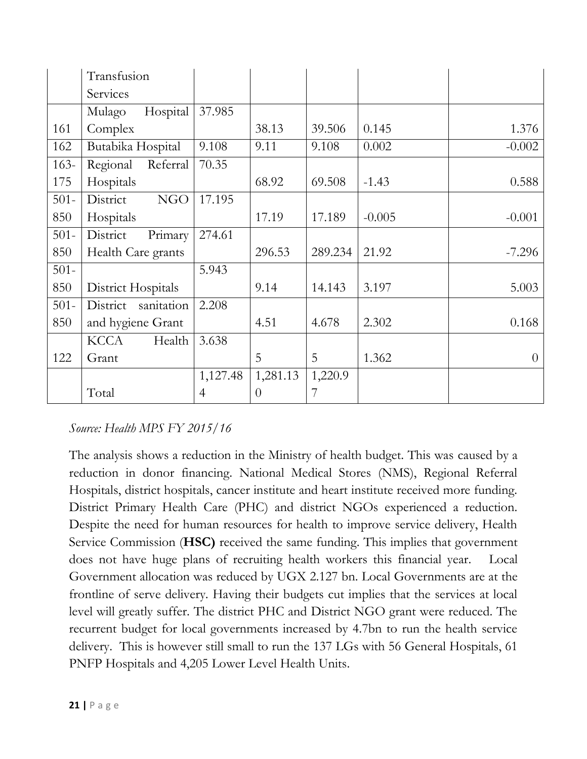|         | Transfusion            |          |          |         |          |          |
|---------|------------------------|----------|----------|---------|----------|----------|
|         | Services               |          |          |         |          |          |
|         | Hospital<br>Mulago     | 37.985   |          |         |          |          |
| 161     | Complex                |          | 38.13    | 39.506  | 0.145    | 1.376    |
| 162     | Butabika Hospital      | 9.108    | 9.11     | 9.108   | 0.002    | $-0.002$ |
| $163-$  | Regional<br>Referral   | 70.35    |          |         |          |          |
| 175     | Hospitals              |          | 68.92    | 69.508  | $-1.43$  | 0.588    |
| $501 -$ | <b>NGO</b><br>District | 17.195   |          |         |          |          |
| 850     | Hospitals              |          | 17.19    | 17.189  | $-0.005$ | $-0.001$ |
| $501 -$ | Primary<br>District    | 274.61   |          |         |          |          |
| 850     | Health Care grants     |          | 296.53   | 289.234 | 21.92    | $-7.296$ |
| $501 -$ |                        | 5.943    |          |         |          |          |
| 850     | District Hospitals     |          | 9.14     | 14.143  | 3.197    | 5.003    |
| $501 -$ | District<br>sanitation | 2.208    |          |         |          |          |
| 850     | and hygiene Grant      |          | 4.51     | 4.678   | 2.302    | 0.168    |
|         | <b>KCCA</b><br>Health  | 3.638    |          |         |          |          |
| 122     | Grant                  |          | 5        | 5       | 1.362    | $\theta$ |
|         |                        | 1,127.48 | 1,281.13 | 1,220.9 |          |          |
|         | Total                  | 4        | $\theta$ | 7       |          |          |

## *Source: Health MPS FY 2015/16*

The analysis shows a reduction in the Ministry of health budget. This was caused by a reduction in donor financing. National Medical Stores (NMS), Regional Referral Hospitals, district hospitals, cancer institute and heart institute received more funding. District Primary Health Care (PHC) and district NGOs experienced a reduction. Despite the need for human resources for health to improve service delivery, Health Service Commission (**HSC)** received the same funding. This implies that government does not have huge plans of recruiting health workers this financial year. Local Government allocation was reduced by UGX 2.127 bn. Local Governments are at the frontline of serve delivery. Having their budgets cut implies that the services at local level will greatly suffer. The district PHC and District NGO grant were reduced. The recurrent budget for local governments increased by 4.7bn to run the health service delivery. This is however still small to run the 137 LGs with 56 General Hospitals, 61 PNFP Hospitals and 4,205 Lower Level Health Units.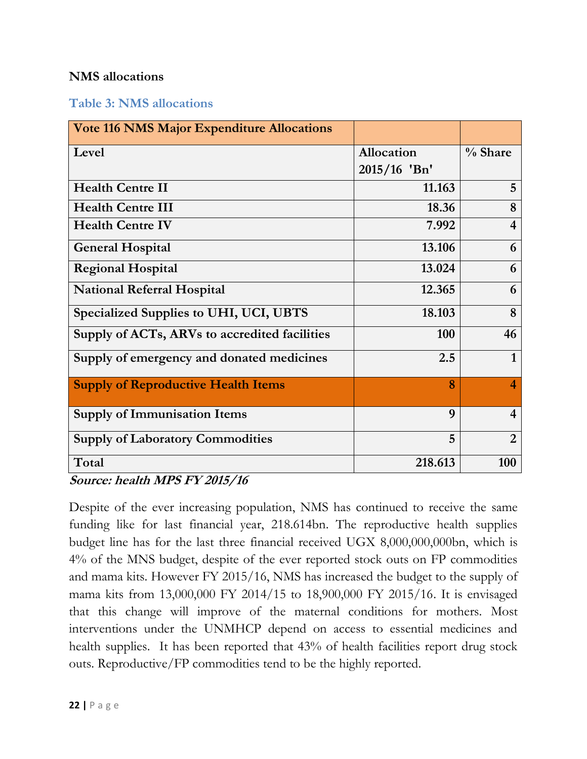#### **NMS allocations**

#### **Table 3: NMS allocations**

| <b>Vote 116 NMS Major Expenditure Allocations</b> |                   |                         |
|---------------------------------------------------|-------------------|-------------------------|
| Level                                             | <b>Allocation</b> | $\%$ Share              |
|                                                   | 2015/16 'Bn'      |                         |
| <b>Health Centre II</b>                           | 11.163            | 5                       |
| <b>Health Centre III</b>                          | 18.36             | 8                       |
| <b>Health Centre IV</b>                           | 7.992             | $\overline{\mathbf{4}}$ |
| <b>General Hospital</b>                           | 13.106            | 6                       |
| <b>Regional Hospital</b>                          | 13.024            | 6                       |
| <b>National Referral Hospital</b>                 | 12.365            | 6                       |
| Specialized Supplies to UHI, UCI, UBTS            | 18.103            | 8                       |
| Supply of ACTs, ARVs to accredited facilities     | 100               | 46                      |
| Supply of emergency and donated medicines         | 2.5               | 1                       |
| <b>Supply of Reproductive Health Items</b>        | 8                 | 4                       |
| <b>Supply of Immunisation Items</b>               | 9                 | $\overline{\mathbf{4}}$ |
| <b>Supply of Laboratory Commodities</b>           | 5                 | $\overline{2}$          |
| Total                                             | 218.613           | 100                     |

**Source: health MPS FY 2015/16**

Despite of the ever increasing population, NMS has continued to receive the same funding like for last financial year, 218.614bn. The reproductive health supplies budget line has for the last three financial received UGX 8,000,000,000bn, which is 4% of the MNS budget, despite of the ever reported stock outs on FP commodities and mama kits. However FY 2015/16, NMS has increased the budget to the supply of mama kits from 13,000,000 FY 2014/15 to 18,900,000 FY 2015/16. It is envisaged that this change will improve of the maternal conditions for mothers. Most interventions under the UNMHCP depend on access to essential medicines and health supplies. It has been reported that 43% of health facilities report drug stock outs. Reproductive/FP commodities tend to be the highly reported.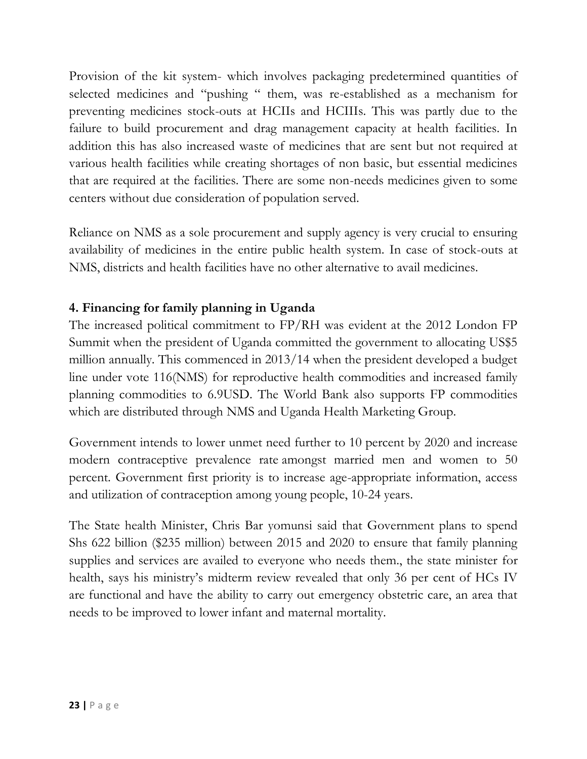Provision of the kit system- which involves packaging predetermined quantities of selected medicines and "pushing " them, was re-established as a mechanism for preventing medicines stock-outs at HCIIs and HCIIIs. This was partly due to the failure to build procurement and drag management capacity at health facilities. In addition this has also increased waste of medicines that are sent but not required at various health facilities while creating shortages of non basic, but essential medicines that are required at the facilities. There are some non-needs medicines given to some centers without due consideration of population served.

Reliance on NMS as a sole procurement and supply agency is very crucial to ensuring availability of medicines in the entire public health system. In case of stock-outs at NMS, districts and health facilities have no other alternative to avail medicines.

#### <span id="page-22-0"></span>**4. Financing for family planning in Uganda**

The increased political commitment to FP/RH was evident at the 2012 London FP Summit when the president of Uganda committed the government to allocating US\$5 million annually. This commenced in 2013/14 when the president developed a budget line under vote 116(NMS) for reproductive health commodities and increased family planning commodities to 6.9USD. The World Bank also supports FP commodities which are distributed through NMS and Uganda Health Marketing Group.

Government intends to lower unmet need further to 10 percent by 2020 and increase modern contraceptive prevalence rate amongst married men and women to 50 percent. Government first priority is to increase age-appropriate information, access and utilization of contraception among young people, 10-24 years.

The State health Minister, Chris Bar yomunsi said that Government plans to spend Shs 622 billion (\$235 million) between 2015 and 2020 to ensure that family planning supplies and services are availed to everyone who needs them., the state minister for health, says his ministry's midterm review revealed that only 36 per cent of HCs IV are functional and have the ability to carry out emergency obstetric care, an area that needs to be improved to lower infant and maternal mortality.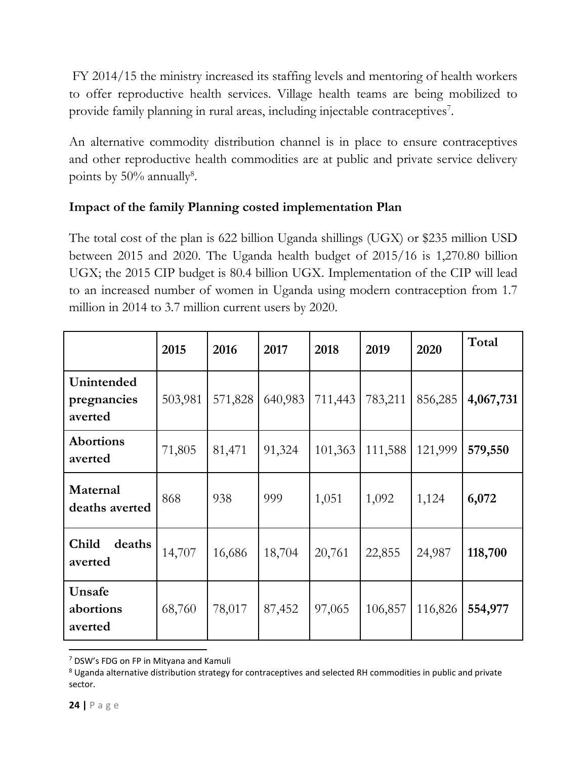FY 2014/15 the ministry increased its staffing levels and mentoring of health workers to offer reproductive health services. Village health teams are being mobilized to provide family planning in rural areas, including injectable contraceptives<sup>7</sup>.

An alternative commodity distribution channel is in place to ensure contraceptives and other reproductive health commodities are at public and private service delivery points by  $50\%$  annually<sup>8</sup>.

## **Impact of the family Planning costed implementation Plan**

The total cost of the plan is 622 billion Uganda shillings (UGX) or \$235 million USD between 2015 and 2020. The Uganda health budget of 2015/16 is 1,270.80 billion UGX; the 2015 CIP budget is 80.4 billion UGX. Implementation of the CIP will lead to an increased number of women in Uganda using modern contraception from 1.7 million in 2014 to 3.7 million current users by 2020.

|                                      | 2015    | 2016    | 2017    | 2018    | 2019    | 2020    | Total     |
|--------------------------------------|---------|---------|---------|---------|---------|---------|-----------|
| Unintended<br>pregnancies<br>averted | 503,981 | 571,828 | 640,983 | 711,443 | 783,211 | 856,285 | 4,067,731 |
| <b>Abortions</b><br>averted          | 71,805  | 81,471  | 91,324  | 101,363 | 111,588 | 121,999 | 579,550   |
| Maternal<br>deaths averted           | 868     | 938     | 999     | 1,051   | 1,092   | 1,124   | 6,072     |
| Child<br>deaths<br>averted           | 14,707  | 16,686  | 18,704  | 20,761  | 22,855  | 24,987  | 118,700   |
| Unsafe<br>abortions<br>averted       | 68,760  | 78,017  | 87,452  | 97,065  | 106,857 | 116,826 | 554,977   |

<sup>7</sup> DSW's FDG on FP in Mityana and Kamuli

 $\overline{\phantom{a}}$ 

<sup>&</sup>lt;sup>8</sup> Uganda alternative distribution strategy for contraceptives and selected RH commodities in public and private sector.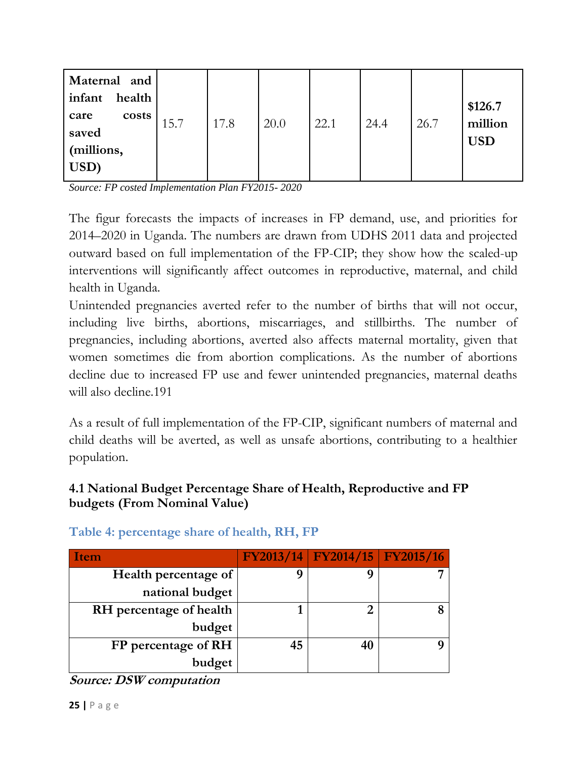| Maternal and<br>infant<br>health<br>costs<br>care<br>saved<br>(millions,<br>USD) | 15.7 | 17.8 | 20.0 | 22.1 | 24.4 | 26.7 | \$126.7<br>million<br><b>USD</b> |
|----------------------------------------------------------------------------------|------|------|------|------|------|------|----------------------------------|
|----------------------------------------------------------------------------------|------|------|------|------|------|------|----------------------------------|

*Source: FP costed Implementation Plan FY2015- 2020*

The figur forecasts the impacts of increases in FP demand, use, and priorities for 2014–2020 in Uganda. The numbers are drawn from UDHS 2011 data and projected outward based on full implementation of the FP-CIP; they show how the scaled-up interventions will significantly affect outcomes in reproductive, maternal, and child health in Uganda.

Unintended pregnancies averted refer to the number of births that will not occur, including live births, abortions, miscarriages, and stillbirths. The number of pregnancies, including abortions, averted also affects maternal mortality, given that women sometimes die from abortion complications. As the number of abortions decline due to increased FP use and fewer unintended pregnancies, maternal deaths will also decline.191

As a result of full implementation of the FP-CIP, significant numbers of maternal and child deaths will be averted, as well as unsafe abortions, contributing to a healthier population.

## <span id="page-24-0"></span>**4.1 National Budget Percentage Share of Health, Reproductive and FP budgets (From Nominal Value)**

| Item                    |    | $FY2013/14$ $FY2014/15$ $FY2015/16$ |  |
|-------------------------|----|-------------------------------------|--|
| Health percentage of    |    |                                     |  |
| national budget         |    |                                     |  |
| RH percentage of health |    |                                     |  |
| budget                  |    |                                     |  |
| FP percentage of RH     | 45 |                                     |  |
| budget                  |    |                                     |  |

**Table 4: percentage share of health, RH, FP**

**Source: DSW computation**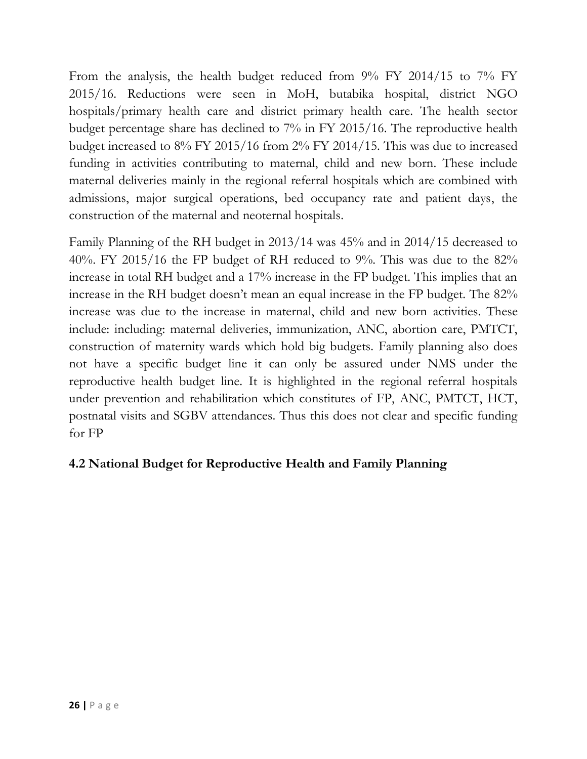From the analysis, the health budget reduced from 9% FY 2014/15 to 7% FY 2015/16. Reductions were seen in MoH, butabika hospital, district NGO hospitals/primary health care and district primary health care. The health sector budget percentage share has declined to 7% in FY 2015/16. The reproductive health budget increased to 8% FY 2015/16 from 2% FY 2014/15. This was due to increased funding in activities contributing to maternal, child and new born. These include maternal deliveries mainly in the regional referral hospitals which are combined with admissions, major surgical operations, bed occupancy rate and patient days, the construction of the maternal and neoternal hospitals.

Family Planning of the RH budget in 2013/14 was 45% and in 2014/15 decreased to 40%. FY 2015/16 the FP budget of RH reduced to 9%. This was due to the 82% increase in total RH budget and a 17% increase in the FP budget. This implies that an increase in the RH budget doesn't mean an equal increase in the FP budget. The 82% increase was due to the increase in maternal, child and new born activities. These include: including: maternal deliveries, immunization, ANC, abortion care, PMTCT, construction of maternity wards which hold big budgets. Family planning also does not have a specific budget line it can only be assured under NMS under the reproductive health budget line. It is highlighted in the regional referral hospitals under prevention and rehabilitation which constitutes of FP, ANC, PMTCT, HCT, postnatal visits and SGBV attendances. Thus this does not clear and specific funding for FP

## <span id="page-25-0"></span>**4.2 National Budget for Reproductive Health and Family Planning**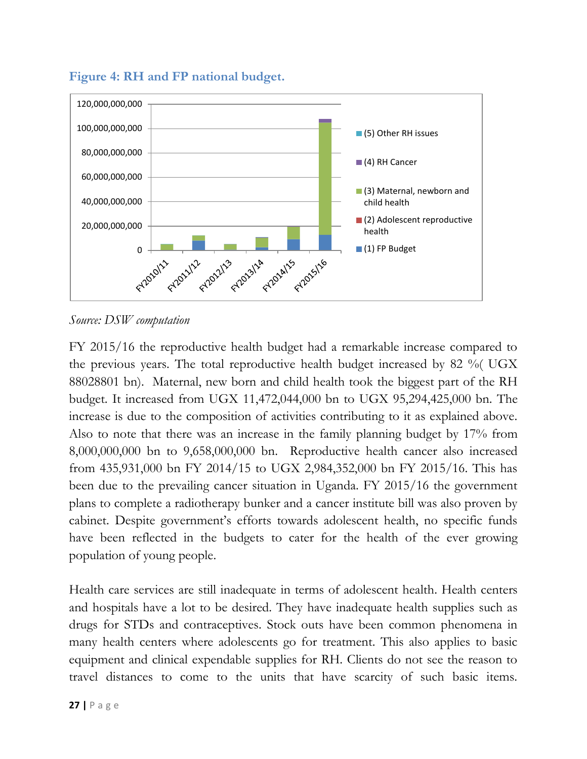

<span id="page-26-0"></span>**Figure 4: RH and FP national budget.**

*Source: DSW computation*

FY 2015/16 the reproductive health budget had a remarkable increase compared to the previous years. The total reproductive health budget increased by 82 %( UGX 88028801 bn). Maternal, new born and child health took the biggest part of the RH budget. It increased from UGX 11,472,044,000 bn to UGX 95,294,425,000 bn. The increase is due to the composition of activities contributing to it as explained above. Also to note that there was an increase in the family planning budget by 17% from 8,000,000,000 bn to 9,658,000,000 bn. Reproductive health cancer also increased from 435,931,000 bn FY 2014/15 to UGX 2,984,352,000 bn FY 2015/16. This has been due to the prevailing cancer situation in Uganda. FY 2015/16 the government plans to complete a radiotherapy bunker and a cancer institute bill was also proven by cabinet. Despite government's efforts towards adolescent health, no specific funds have been reflected in the budgets to cater for the health of the ever growing population of young people.

Health care services are still inadequate in terms of adolescent health. Health centers and hospitals have a lot to be desired. They have inadequate health supplies such as drugs for STDs and contraceptives. Stock outs have been common phenomena in many health centers where adolescents go for treatment. This also applies to basic equipment and clinical expendable supplies for RH. Clients do not see the reason to travel distances to come to the units that have scarcity of such basic items.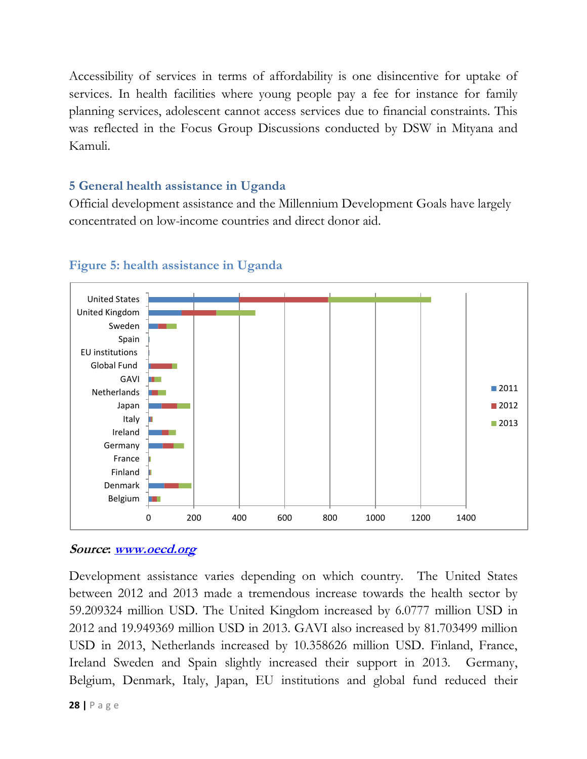Accessibility of services in terms of affordability is one disincentive for uptake of services. In health facilities where young people pay a fee for instance for family planning services, adolescent cannot access services due to financial constraints. This was reflected in the Focus Group Discussions conducted by DSW in Mityana and Kamuli.

#### <span id="page-27-0"></span>**5 General health assistance in Uganda**

Official development assistance and the Millennium Development Goals have largely concentrated on low-income countries and direct donor aid.



#### <span id="page-27-1"></span>**Figure 5: health assistance in Uganda**

#### **Source: [www.oecd.org](http://www.oecd.org/)**

Development assistance varies depending on which country. The United States between 2012 and 2013 made a tremendous increase towards the health sector by 59.209324 million USD. The United Kingdom increased by 6.0777 million USD in 2012 and 19.949369 million USD in 2013. GAVI also increased by 81.703499 million USD in 2013, Netherlands increased by 10.358626 million USD. Finland, France, Ireland Sweden and Spain slightly increased their support in 2013. Germany, Belgium, Denmark, Italy, Japan, EU institutions and global fund reduced their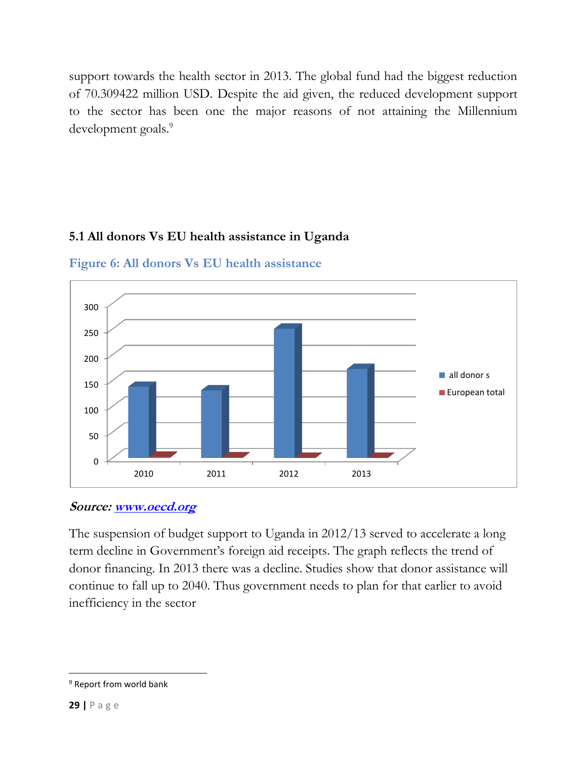support towards the health sector in 2013. The global fund had the biggest reduction of 70.309422 million USD. Despite the aid given, the reduced development support to the sector has been one the major reasons of not attaining the Millennium development goals.<sup>9</sup>

## **5.1 All donors Vs EU health assistance in Uganda**



<span id="page-28-1"></span>**Figure 6: All donors Vs EU health assistance**

#### **Source: [www.oecd.org](http://www.oecd.org/)**

The suspension of budget support to Uganda in 2012/13 served to accelerate a long term decline in Government's foreign aid receipts. The graph reflects the trend of donor financing. In 2013 there was a decline. Studies show that donor assistance will continue to fall up to 2040. Thus government needs to plan for that earlier to avoid inefficiency in the sector

<span id="page-28-0"></span> $\overline{\phantom{a}}$ 

<sup>&</sup>lt;sup>9</sup> Report from world bank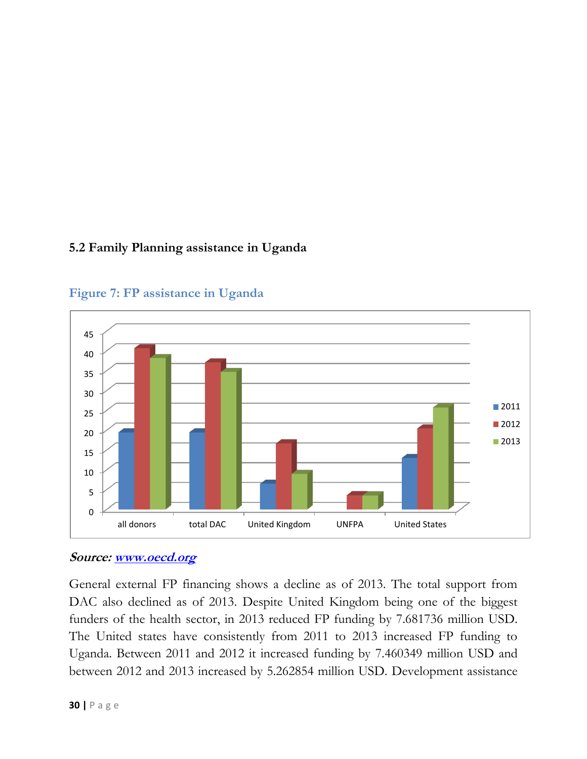#### **5.2 Family Planning assistance in Uganda**



<span id="page-29-0"></span>**Figure 7: FP assistance in Uganda**

#### **Source: [www.oecd.org](http://www.oecd.org/)**

General external FP financing shows a decline as of 2013. The total support from DAC also declined as of 2013. Despite United Kingdom being one of the biggest funders of the health sector, in 2013 reduced FP funding by 7.681736 million USD. The United states have consistently from 2011 to 2013 increased FP funding to Uganda. Between 2011 and 2012 it increased funding by 7.460349 million USD and between 2012 and 2013 increased by 5.262854 million USD. Development assistance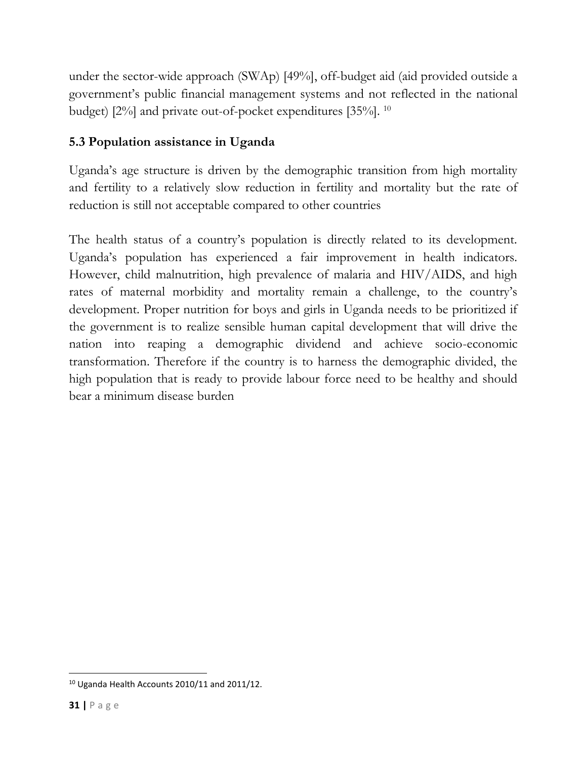under the sector-wide approach (SWAp) [49%], off-budget aid (aid provided outside a government's public financial management systems and not reflected in the national budget) [2%] and private out-of-pocket expenditures [35%]. <sup>10</sup>

## <span id="page-30-0"></span>**5.3 Population assistance in Uganda**

Uganda's age structure is driven by the demographic transition from high mortality and fertility to a relatively slow reduction in fertility and mortality but the rate of reduction is still not acceptable compared to other countries

The health status of a country's population is directly related to its development. Uganda's population has experienced a fair improvement in health indicators. However, child malnutrition, high prevalence of malaria and HIV/AIDS, and high rates of maternal morbidity and mortality remain a challenge, to the country's development. Proper nutrition for boys and girls in Uganda needs to be prioritized if the government is to realize sensible human capital development that will drive the nation into reaping a demographic dividend and achieve socio-economic transformation. Therefore if the country is to harness the demographic divided, the high population that is ready to provide labour force need to be healthy and should bear a minimum disease burden

 $\overline{\phantom{a}}$ 

<sup>&</sup>lt;sup>10</sup> Uganda Health Accounts 2010/11 and 2011/12.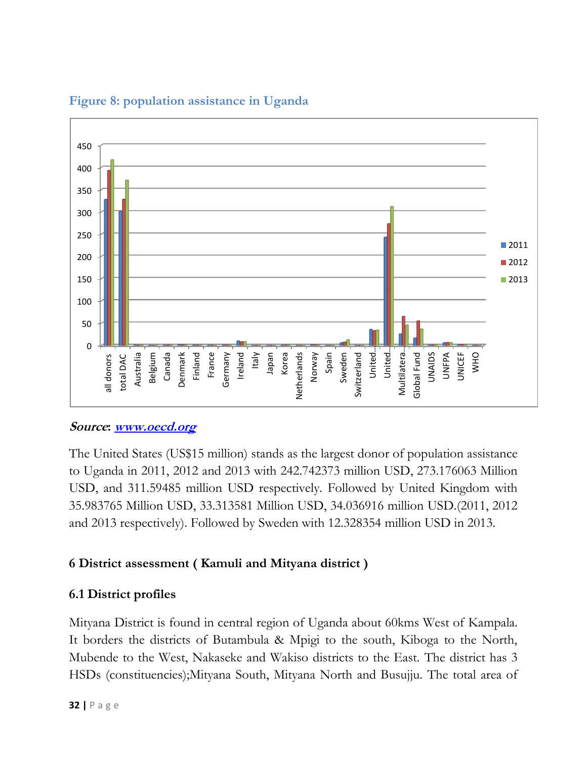

## <span id="page-31-2"></span>**Figure 8: population assistance in Uganda**

## **Source: [www.oecd.org](http://www.oecd.org/)**

The United States (US\$15 million) stands as the largest donor of population assistance to Uganda in 2011, 2012 and 2013 with 242.742373 million USD, 273.176063 Million USD, and 311.59485 million USD respectively. Followed by United Kingdom with 35.983765 Million USD, 33.313581 Million USD, 34.036916 million USD.(2011, 2012 and 2013 respectively). Followed by Sweden with 12.328354 million USD in 2013.

## <span id="page-31-0"></span>**6 District assessment ( Kamuli and Mityana district )**

## <span id="page-31-1"></span>**6.1 District profiles**

Mityana District is found in central region of Uganda about 60kms West of Kampala. It borders the districts of Butambula & Mpigi to the south, Kiboga to the North, Mubende to the West, Nakaseke and Wakiso districts to the East. The district has 3 HSDs (constituencies);Mityana South, Mityana North and Busujju. The total area of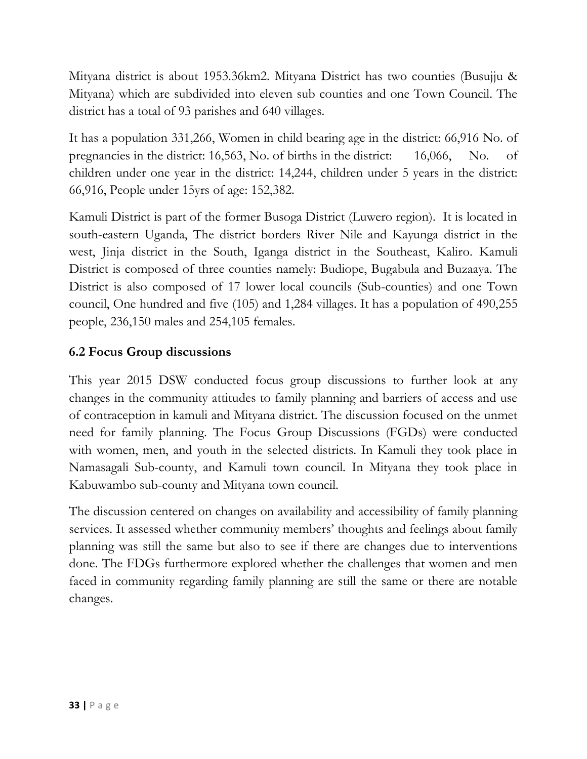Mityana district is about 1953.36km2. Mityana District has two counties (Busujju & Mityana) which are subdivided into eleven sub counties and one Town Council. The district has a total of 93 parishes and 640 villages.

It has a population 331,266, Women in child bearing age in the district: 66,916 No. of pregnancies in the district: 16,563, No. of births in the district: 16,066, No. of children under one year in the district: 14,244, children under 5 years in the district: 66,916, People under 15yrs of age: 152,382.

Kamuli District is part of the former Busoga District (Luwero region). It is located in south-eastern Uganda, The district borders River Nile and Kayunga district in the west, Jinja district in the South, Iganga district in the Southeast, Kaliro. Kamuli District is composed of three counties namely: Budiope, Bugabula and Buzaaya. The District is also composed of 17 lower local councils (Sub-counties) and one Town council, One hundred and five (105) and 1,284 villages. It has a population of 490,255 people, 236,150 males and 254,105 females.

## <span id="page-32-0"></span>**6.2 Focus Group discussions**

This year 2015 DSW conducted focus group discussions to further look at any changes in the community attitudes to family planning and barriers of access and use of contraception in kamuli and Mityana district. The discussion focused on the unmet need for family planning. The Focus Group Discussions (FGDs) were conducted with women, men, and youth in the selected districts. In Kamuli they took place in Namasagali Sub-county, and Kamuli town council. In Mityana they took place in Kabuwambo sub-county and Mityana town council.

The discussion centered on changes on availability and accessibility of family planning services. It assessed whether community members' thoughts and feelings about family planning was still the same but also to see if there are changes due to interventions done. The FDGs furthermore explored whether the challenges that women and men faced in community regarding family planning are still the same or there are notable changes.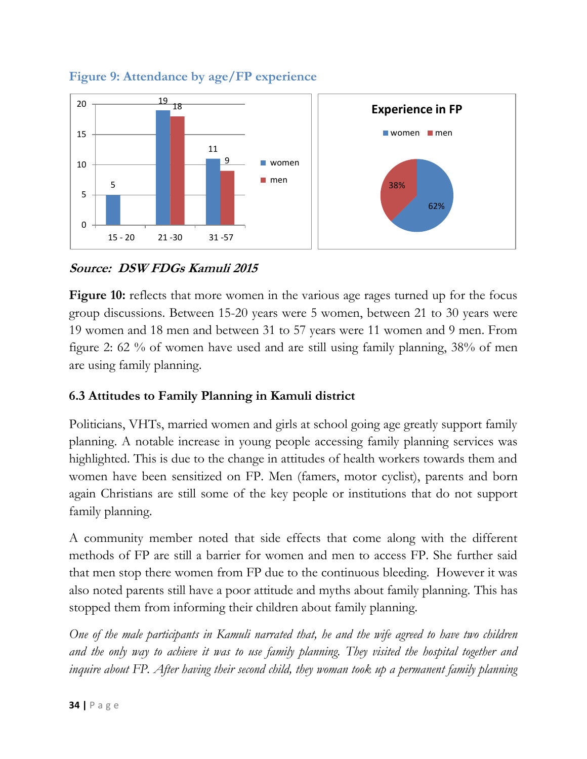

<span id="page-33-1"></span>**Figure 9: Attendance by age/FP experience**

## **Source: DSW FDGs Kamuli 2015**

**Figure 10:** reflects that more women in the various age rages turned up for the focus group discussions. Between 15-20 years were 5 women, between 21 to 30 years were 19 women and 18 men and between 31 to 57 years were 11 women and 9 men. From figure 2: 62 % of women have used and are still using family planning, 38% of men are using family planning.

## <span id="page-33-0"></span>**6.3 Attitudes to Family Planning in Kamuli district**

Politicians, VHTs, married women and girls at school going age greatly support family planning. A notable increase in young people accessing family planning services was highlighted. This is due to the change in attitudes of health workers towards them and women have been sensitized on FP. Men (famers, motor cyclist), parents and born again Christians are still some of the key people or institutions that do not support family planning.

A community member noted that side effects that come along with the different methods of FP are still a barrier for women and men to access FP. She further said that men stop there women from FP due to the continuous bleeding. However it was also noted parents still have a poor attitude and myths about family planning. This has stopped them from informing their children about family planning.

*One of the male participants in Kamuli narrated that, he and the wife agreed to have two children and the only way to achieve it was to use family planning. They visited the hospital together and inquire about FP. After having their second child, they woman took up a permanent family planning*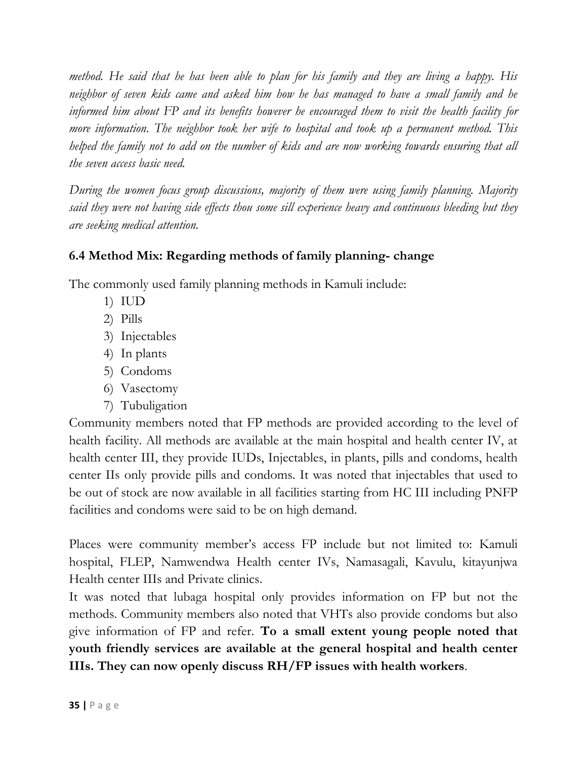*method. He said that he has been able to plan for his family and they are living a happy. His neighbor of seven kids came and asked him how he has managed to have a small family and he informed him about FP and its benefits however he encouraged them to visit the health facility for more information. The neighbor took her wife to hospital and took up a permanent method. This helped the family not to add on the number of kids and are now working towards ensuring that all the seven access basic need.* 

*During the women focus group discussions, majority of them were using family planning. Majority said they were not having side effects thou some sill experience heavy and continuous bleeding but they are seeking medical attention.* 

#### <span id="page-34-0"></span>**6.4 Method Mix: Regarding methods of family planning- change**

The commonly used family planning methods in Kamuli include:

- 1) IUD
- 2) Pills
- 3) Injectables
- 4) In plants
- 5) Condoms
- 6) Vasectomy
- 7) Tubuligation

Community members noted that FP methods are provided according to the level of health facility. All methods are available at the main hospital and health center IV, at health center III, they provide IUDs, Injectables, in plants, pills and condoms, health center IIs only provide pills and condoms. It was noted that injectables that used to be out of stock are now available in all facilities starting from HC III including PNFP facilities and condoms were said to be on high demand.

Places were community member's access FP include but not limited to: Kamuli hospital, FLEP, Namwendwa Health center IVs, Namasagali, Kavulu, kitayunjwa Health center IIIs and Private clinics.

It was noted that lubaga hospital only provides information on FP but not the methods. Community members also noted that VHTs also provide condoms but also give information of FP and refer. **To a small extent young people noted that youth friendly services are available at the general hospital and health center IIIs. They can now openly discuss RH/FP issues with health workers**.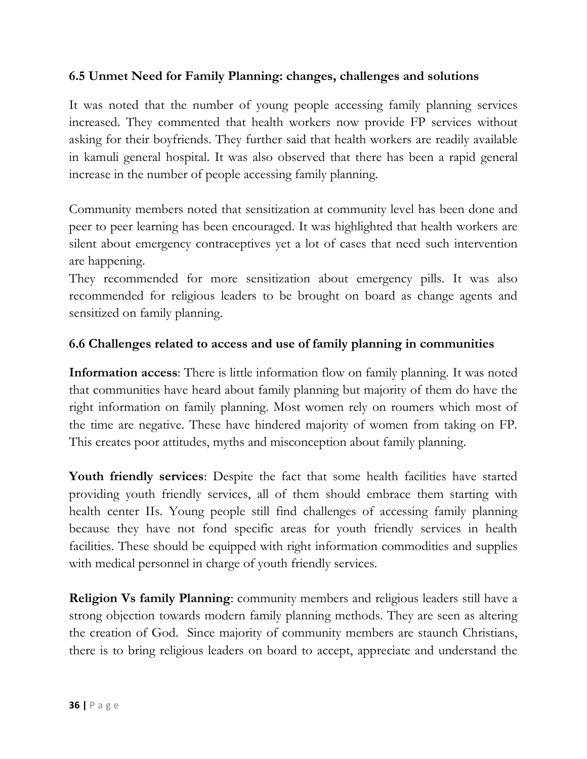#### <span id="page-35-0"></span>**6.5 Unmet Need for Family Planning: changes, challenges and solutions**

It was noted that the number of young people accessing family planning services increased. They commented that health workers now provide FP services without asking for their boyfriends. They further said that health workers are readily available in kamuli general hospital. It was also observed that there has been a rapid general increase in the number of people accessing family planning.

Community members noted that sensitization at community level has been done and peer to peer learning has been encouraged. It was highlighted that health workers are silent about emergency contraceptives yet a lot of cases that need such intervention are happening.

They recommended for more sensitization about emergency pills. It was also recommended for religious leaders to be brought on board as change agents and sensitized on family planning.

#### <span id="page-35-1"></span>**6.6 Challenges related to access and use of family planning in communities**

**Information access**: There is little information flow on family planning. It was noted that communities have heard about family planning but majority of them do have the right information on family planning. Most women rely on roumers which most of the time are negative. These have hindered majority of women from taking on FP. This creates poor attitudes, myths and misconception about family planning.

**Youth friendly services**: Despite the fact that some health facilities have started providing youth friendly services, all of them should embrace them starting with health center IIs. Young people still find challenges of accessing family planning because they have not fond specific areas for youth friendly services in health facilities. These should be equipped with right information commodities and supplies with medical personnel in charge of youth friendly services.

**Religion Vs family Planning**: community members and religious leaders still have a strong objection towards modern family planning methods. They are seen as altering the creation of God. Since majority of community members are staunch Christians, there is to bring religious leaders on board to accept, appreciate and understand the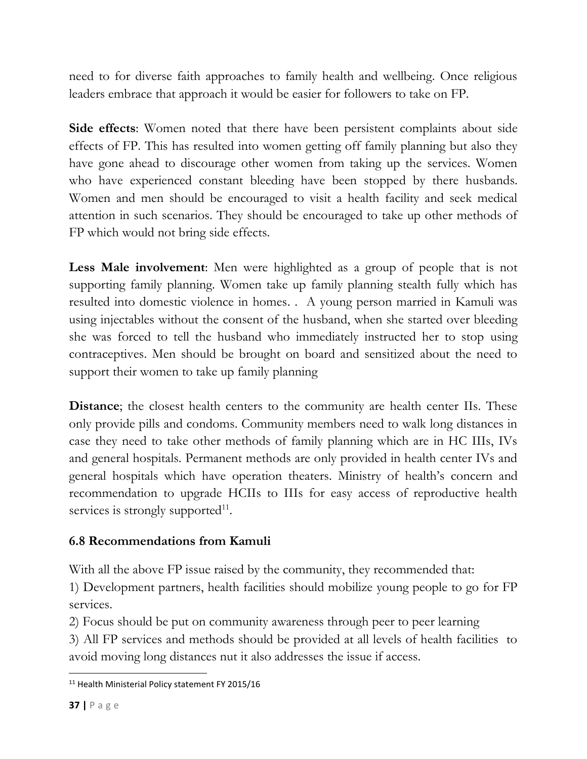need to for diverse faith approaches to family health and wellbeing. Once religious leaders embrace that approach it would be easier for followers to take on FP.

**Side effects**: Women noted that there have been persistent complaints about side effects of FP. This has resulted into women getting off family planning but also they have gone ahead to discourage other women from taking up the services. Women who have experienced constant bleeding have been stopped by there husbands. Women and men should be encouraged to visit a health facility and seek medical attention in such scenarios. They should be encouraged to take up other methods of FP which would not bring side effects.

**Less Male involvement**: Men were highlighted as a group of people that is not supporting family planning. Women take up family planning stealth fully which has resulted into domestic violence in homes. . A young person married in Kamuli was using injectables without the consent of the husband, when she started over bleeding she was forced to tell the husband who immediately instructed her to stop using contraceptives. Men should be brought on board and sensitized about the need to support their women to take up family planning

**Distance**; the closest health centers to the community are health center IIs. These only provide pills and condoms. Community members need to walk long distances in case they need to take other methods of family planning which are in HC IIIs, IVs and general hospitals. Permanent methods are only provided in health center IVs and general hospitals which have operation theaters. Ministry of health's concern and recommendation to upgrade HCIIs to IIIs for easy access of reproductive health services is strongly supported $11$ .

## <span id="page-36-0"></span>**6.8 Recommendations from Kamuli**

With all the above FP issue raised by the community, they recommended that:

1) Development partners, health facilities should mobilize young people to go for FP services.

2) Focus should be put on community awareness through peer to peer learning

3) All FP services and methods should be provided at all levels of health facilities to avoid moving long distances nut it also addresses the issue if access.

 $\overline{\phantom{a}}$ <sup>11</sup> Health Ministerial Policy statement FY 2015/16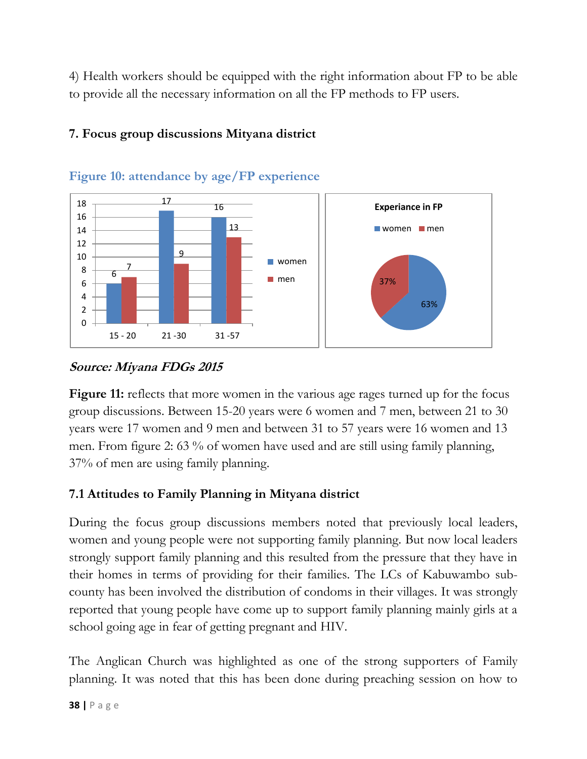4) Health workers should be equipped with the right information about FP to be able to provide all the necessary information on all the FP methods to FP users.

<span id="page-37-2"></span>

## <span id="page-37-0"></span>**7. Focus group discussions Mityana district**

## **Source: Miyana FDGs 2015**

**Figure 11:** reflects that more women in the various age rages turned up for the focus group discussions. Between 15-20 years were 6 women and 7 men, between 21 to 30 years were 17 women and 9 men and between 31 to 57 years were 16 women and 13 men. From figure 2: 63 % of women have used and are still using family planning, 37% of men are using family planning.

## <span id="page-37-1"></span>**7.1 Attitudes to Family Planning in Mityana district**

During the focus group discussions members noted that previously local leaders, women and young people were not supporting family planning. But now local leaders strongly support family planning and this resulted from the pressure that they have in their homes in terms of providing for their families. The LCs of Kabuwambo subcounty has been involved the distribution of condoms in their villages. It was strongly reported that young people have come up to support family planning mainly girls at a school going age in fear of getting pregnant and HIV.

The Anglican Church was highlighted as one of the strong supporters of Family planning. It was noted that this has been done during preaching session on how to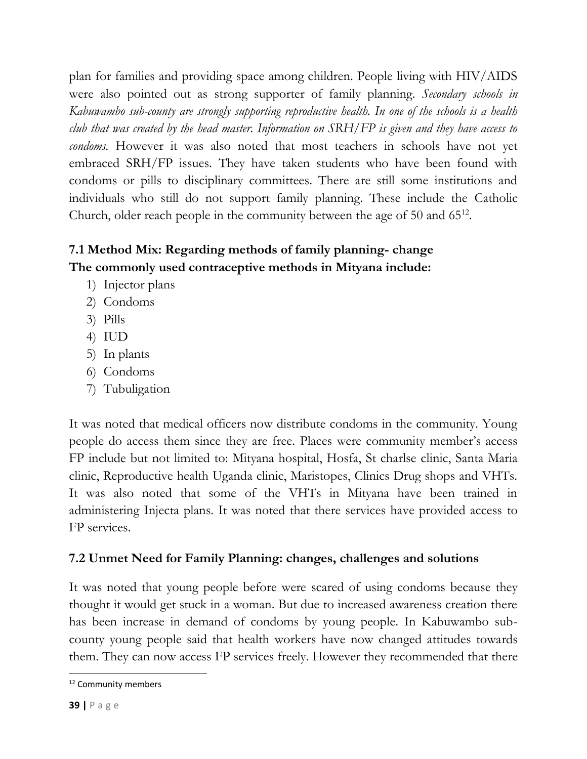plan for families and providing space among children. People living with HIV/AIDS were also pointed out as strong supporter of family planning. *Secondary schools in Kabuwambo sub-county are strongly supporting reproductive health. In one of the schools is a health club that was created by the head master. Information on SRH/FP is given and they have access to condoms.* However it was also noted that most teachers in schools have not yet embraced SRH/FP issues. They have taken students who have been found with condoms or pills to disciplinary committees. There are still some institutions and individuals who still do not support family planning. These include the Catholic Church, older reach people in the community between the age of 50 and 65<sup>12</sup>.

# <span id="page-38-0"></span>**7.1 Method Mix: Regarding methods of family planning- change The commonly used contraceptive methods in Mityana include:**

- 1) Injector plans
- 2) Condoms
- 3) Pills
- 4) IUD
- 5) In plants
- 6) Condoms
- 7) Tubuligation

It was noted that medical officers now distribute condoms in the community. Young people do access them since they are free. Places were community member's access FP include but not limited to: Mityana hospital, Hosfa, St charlse clinic, Santa Maria clinic, Reproductive health Uganda clinic, Maristopes, Clinics Drug shops and VHTs. It was also noted that some of the VHTs in Mityana have been trained in administering Injecta plans. It was noted that there services have provided access to FP services.

## <span id="page-38-1"></span>**7.2 Unmet Need for Family Planning: changes, challenges and solutions**

It was noted that young people before were scared of using condoms because they thought it would get stuck in a woman. But due to increased awareness creation there has been increase in demand of condoms by young people. In Kabuwambo subcounty young people said that health workers have now changed attitudes towards them. They can now access FP services freely. However they recommended that there

 $\overline{\phantom{a}}$ <sup>12</sup> Community members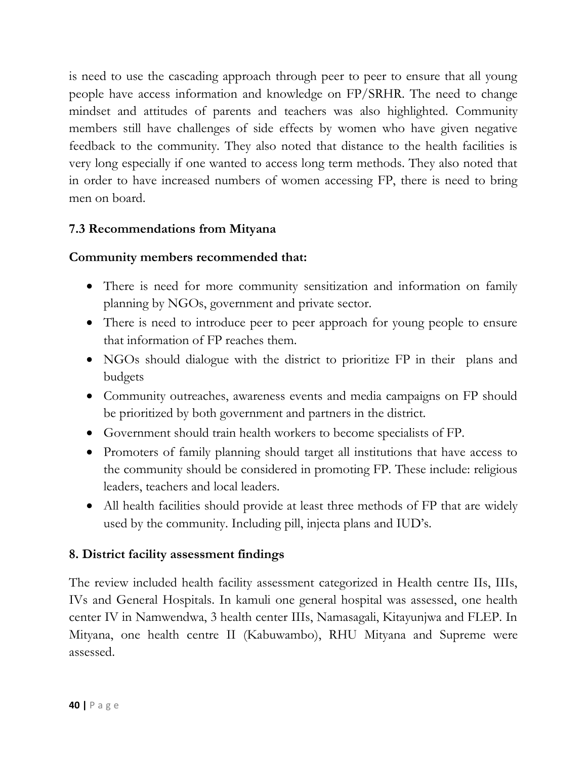is need to use the cascading approach through peer to peer to ensure that all young people have access information and knowledge on FP/SRHR. The need to change mindset and attitudes of parents and teachers was also highlighted. Community members still have challenges of side effects by women who have given negative feedback to the community. They also noted that distance to the health facilities is very long especially if one wanted to access long term methods. They also noted that in order to have increased numbers of women accessing FP, there is need to bring men on board.

## <span id="page-39-0"></span>**7.3 Recommendations from Mityana**

#### **Community members recommended that:**

- There is need for more community sensitization and information on family planning by NGOs, government and private sector.
- There is need to introduce peer to peer approach for young people to ensure that information of FP reaches them.
- NGOs should dialogue with the district to prioritize FP in their plans and budgets
- Community outreaches, awareness events and media campaigns on FP should be prioritized by both government and partners in the district.
- Government should train health workers to become specialists of FP.
- Promoters of family planning should target all institutions that have access to the community should be considered in promoting FP. These include: religious leaders, teachers and local leaders.
- All health facilities should provide at least three methods of FP that are widely used by the community. Including pill, injecta plans and IUD's.

#### <span id="page-39-1"></span>**8. District facility assessment findings**

The review included health facility assessment categorized in Health centre IIs, IIIs, IVs and General Hospitals. In kamuli one general hospital was assessed, one health center IV in Namwendwa, 3 health center IIIs, Namasagali, Kitayunjwa and FLEP. In Mityana, one health centre II (Kabuwambo), RHU Mityana and Supreme were assessed.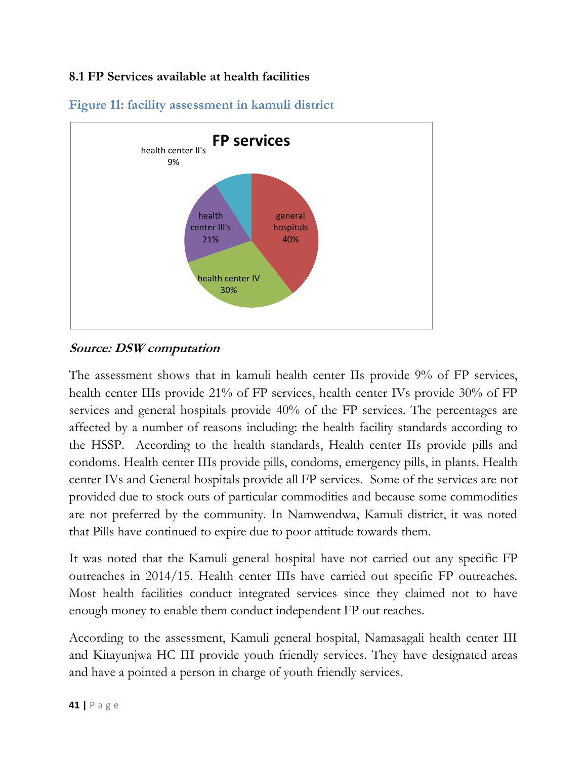## <span id="page-40-0"></span>**8.1 FP Services available at health facilities**



## <span id="page-40-1"></span>**Figure 11: facility assessment in kamuli district**

#### **Source: DSW computation**

The assessment shows that in kamuli health center IIs provide 9% of FP services, health center IIIs provide 21% of FP services, health center IVs provide 30% of FP services and general hospitals provide 40% of the FP services. The percentages are affected by a number of reasons including: the health facility standards according to the HSSP. According to the health standards, Health center IIs provide pills and condoms. Health center IIIs provide pills, condoms, emergency pills, in plants. Health center IVs and General hospitals provide all FP services. Some of the services are not provided due to stock outs of particular commodities and because some commodities are not preferred by the community. In Namwendwa, Kamuli district, it was noted that Pills have continued to expire due to poor attitude towards them.

It was noted that the Kamuli general hospital have not carried out any specific FP outreaches in 2014/15. Health center IIIs have carried out specific FP outreaches. Most health facilities conduct integrated services since they claimed not to have enough money to enable them conduct independent FP out reaches.

According to the assessment, Kamuli general hospital, Namasagali health center III and Kitayunjwa HC III provide youth friendly services. They have designated areas and have a pointed a person in charge of youth friendly services.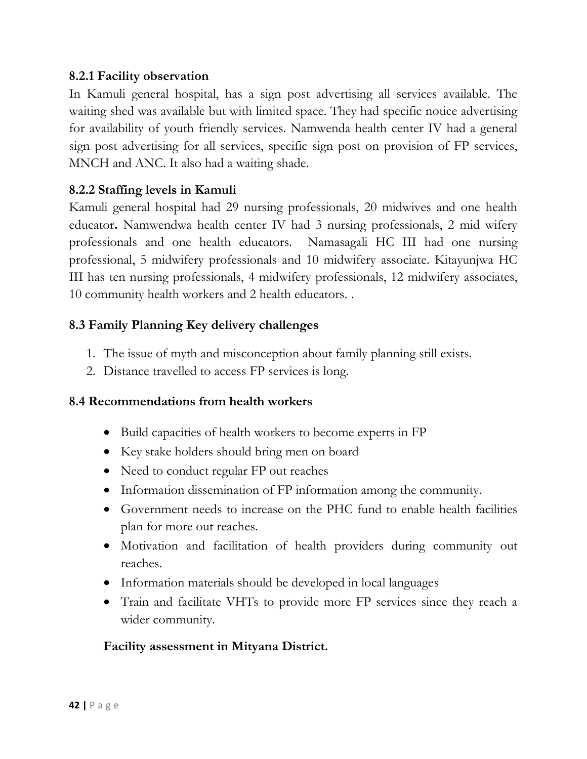#### <span id="page-41-0"></span>**8.2.1 Facility observation**

In Kamuli general hospital, has a sign post advertising all services available. The waiting shed was available but with limited space. They had specific notice advertising for availability of youth friendly services. Namwenda health center IV had a general sign post advertising for all services, specific sign post on provision of FP services, MNCH and ANC. It also had a waiting shade.

#### <span id="page-41-1"></span>**8.2.2 Staffing levels in Kamuli**

Kamuli general hospital had 29 nursing professionals, 20 midwives and one health educator**.** Namwendwa health center IV had 3 nursing professionals, 2 mid wifery professionals and one health educators.Namasagali HC III had one nursing professional, 5 midwifery professionals and 10 midwifery associate. Kitayunjwa HC III has ten nursing professionals, 4 midwifery professionals, 12 midwifery associates, 10 community health workers and 2 health educators. .

#### <span id="page-41-2"></span>**8.3 Family Planning Key delivery challenges**

- 1. The issue of myth and misconception about family planning still exists.
- 2. Distance travelled to access FP services is long.

#### <span id="page-41-3"></span>**8.4 Recommendations from health workers**

- Build capacities of health workers to become experts in FP
- Key stake holders should bring men on board
- Need to conduct regular FP out reaches
- Information dissemination of FP information among the community.
- Government needs to increase on the PHC fund to enable health facilities plan for more out reaches.
- Motivation and facilitation of health providers during community out reaches.
- Information materials should be developed in local languages
- Train and facilitate VHTs to provide more FP services since they reach a wider community.

#### **Facility assessment in Mityana District.**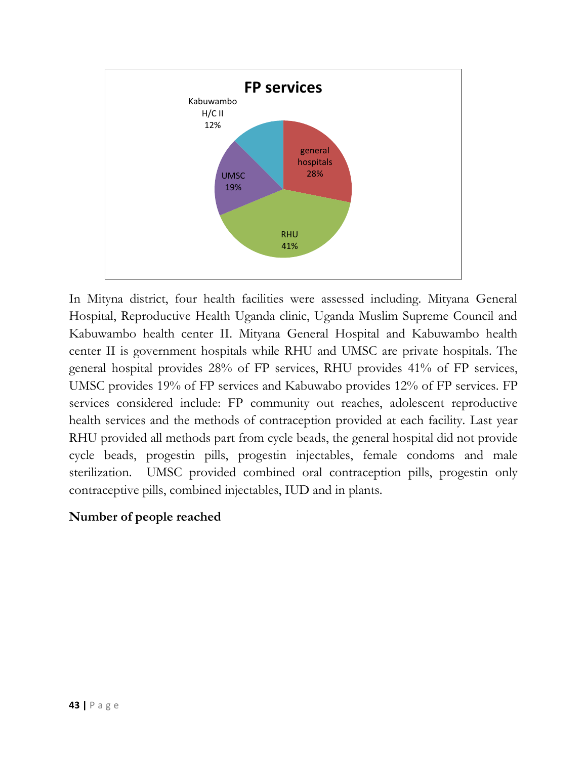

In Mityna district, four health facilities were assessed including. Mityana General Hospital, Reproductive Health Uganda clinic, Uganda Muslim Supreme Council and Kabuwambo health center II. Mityana General Hospital and Kabuwambo health center II is government hospitals while RHU and UMSC are private hospitals. The general hospital provides 28% of FP services, RHU provides 41% of FP services, UMSC provides 19% of FP services and Kabuwabo provides 12% of FP services. FP services considered include: FP community out reaches, adolescent reproductive health services and the methods of contraception provided at each facility. Last year RHU provided all methods part from cycle beads, the general hospital did not provide cycle beads, progestin pills, progestin injectables, female condoms and male sterilization. UMSC provided combined oral contraception pills, progestin only contraceptive pills, combined injectables, IUD and in plants.

#### **Number of people reached**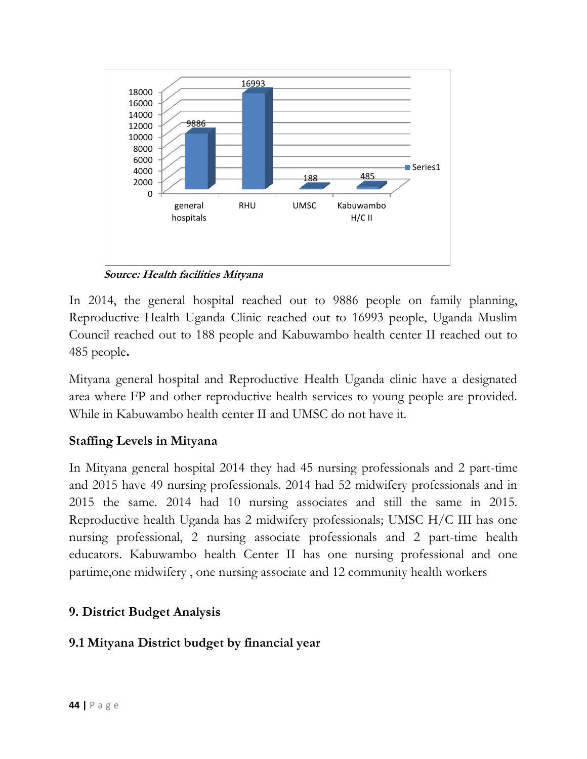

**Source: Health facilities Mityana**

In 2014, the general hospital reached out to 9886 people on family planning, Reproductive Health Uganda Clinic reached out to 16993 people, Uganda Muslim Council reached out to 188 people and Kabuwambo health center II reached out to 485 people**.** 

Mityana general hospital and Reproductive Health Uganda clinic have a designated area where FP and other reproductive health services to young people are provided. While in Kabuwambo health center II and UMSC do not have it.

## **Staffing Levels in Mityana**

In Mityana general hospital 2014 they had 45 nursing professionals and 2 part-time and 2015 have 49 nursing professionals. 2014 had 52 midwifery professionals and in 2015 the same. 2014 had 10 nursing associates and still the same in 2015. Reproductive health Uganda has 2 midwifery professionals; UMSC H/C III has one nursing professional, 2 nursing associate professionals and 2 part-time health educators. Kabuwambo health Center II has one nursing professional and one partime,one midwifery , one nursing associate and 12 community health workers

## <span id="page-43-0"></span>**9. District Budget Analysis**

## <span id="page-43-1"></span>**9.1 Mityana District budget by financial year**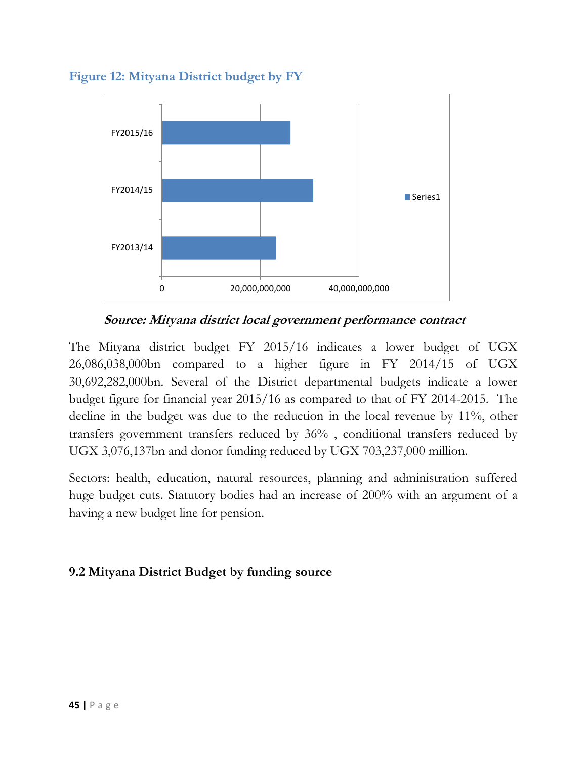

<span id="page-44-1"></span>**Figure 12: Mityana District budget by FY** 

**Source: Mityana district local government performance contract** 

The Mityana district budget FY 2015/16 indicates a lower budget of UGX 26,086,038,000bn compared to a higher figure in FY 2014/15 of UGX 30,692,282,000bn. Several of the District departmental budgets indicate a lower budget figure for financial year 2015/16 as compared to that of FY 2014-2015. The decline in the budget was due to the reduction in the local revenue by 11%, other transfers government transfers reduced by 36% , conditional transfers reduced by UGX 3,076,137bn and donor funding reduced by UGX 703,237,000 million.

Sectors: health, education, natural resources, planning and administration suffered huge budget cuts. Statutory bodies had an increase of 200% with an argument of a having a new budget line for pension.

#### <span id="page-44-0"></span>**9.2 Mityana District Budget by funding source**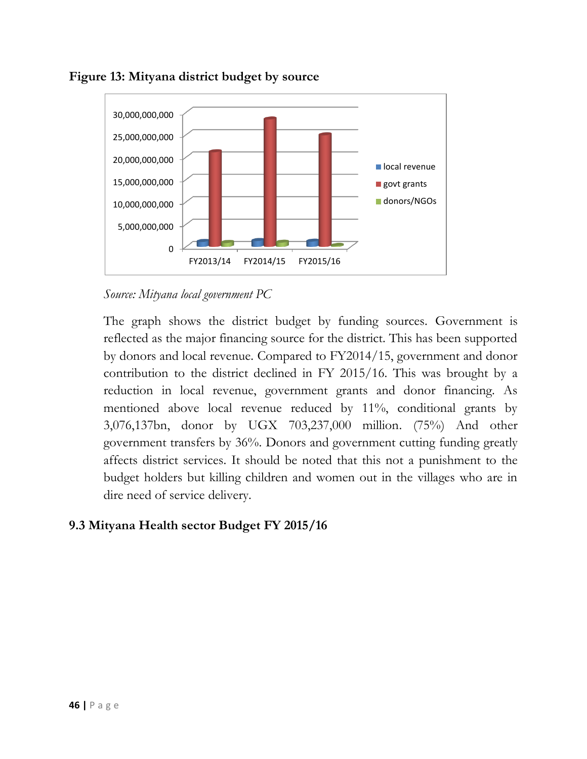

#### <span id="page-45-1"></span>**Figure 13: Mityana district budget by source**

*Source: Mityana local government PC*

The graph shows the district budget by funding sources. Government is reflected as the major financing source for the district. This has been supported by donors and local revenue. Compared to FY2014/15, government and donor contribution to the district declined in FY 2015/16. This was brought by a reduction in local revenue, government grants and donor financing. As mentioned above local revenue reduced by 11%, conditional grants by 3,076,137bn, donor by UGX 703,237,000 million. (75%) And other government transfers by 36%. Donors and government cutting funding greatly affects district services. It should be noted that this not a punishment to the budget holders but killing children and women out in the villages who are in dire need of service delivery.

## <span id="page-45-0"></span>**9.3 Mityana Health sector Budget FY 2015/16**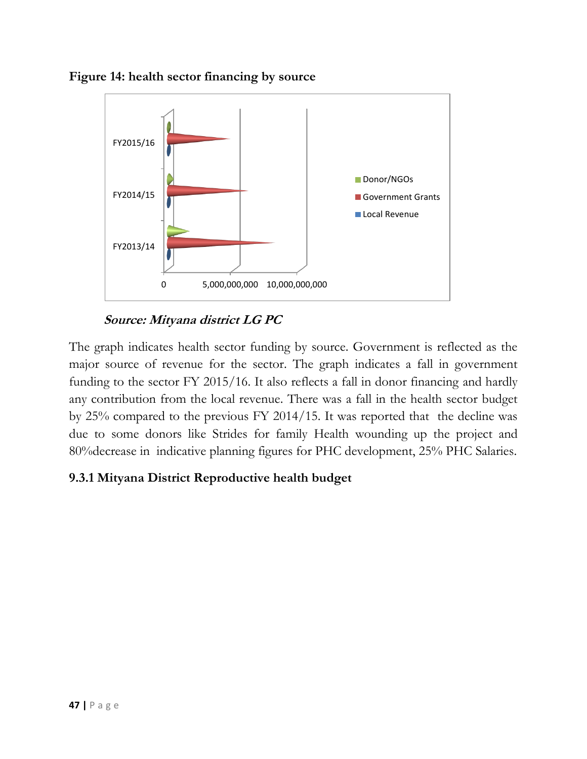<span id="page-46-1"></span>



**Source: Mityana district LG PC**

The graph indicates health sector funding by source. Government is reflected as the major source of revenue for the sector. The graph indicates a fall in government funding to the sector FY 2015/16. It also reflects a fall in donor financing and hardly any contribution from the local revenue. There was a fall in the health sector budget by 25% compared to the previous FY 2014/15. It was reported that the decline was due to some donors like Strides for family Health wounding up the project and 80%decrease in indicative planning figures for PHC development, 25% PHC Salaries.

#### <span id="page-46-0"></span>**9.3.1 Mityana District Reproductive health budget**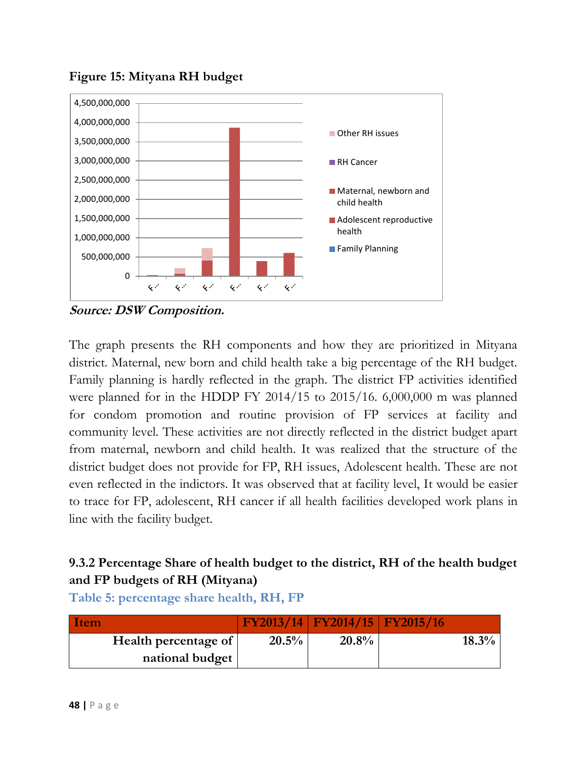

<span id="page-47-1"></span>**Figure 15: Mityana RH budget**

**Source: DSW Composition.** 

The graph presents the RH components and how they are prioritized in Mityana district. Maternal, new born and child health take a big percentage of the RH budget. Family planning is hardly reflected in the graph. The district FP activities identified were planned for in the HDDP FY 2014/15 to 2015/16. 6,000,000 m was planned for condom promotion and routine provision of FP services at facility and community level. These activities are not directly reflected in the district budget apart from maternal, newborn and child health. It was realized that the structure of the district budget does not provide for FP, RH issues, Adolescent health. These are not even reflected in the indictors. It was observed that at facility level, It would be easier to trace for FP, adolescent, RH cancer if all health facilities developed work plans in line with the facility budget.

## <span id="page-47-0"></span>**9.3.2 Percentage Share of health budget to the district, RH of the health budget and FP budgets of RH (Mityana)**

| Item                 |       | FY2013/14   FY2014/15   FY2015/16 |          |
|----------------------|-------|-----------------------------------|----------|
| Health percentage of | 20.5% | 20.8%                             | $18.3\%$ |
| national budget      |       |                                   |          |

**Table 5: percentage share health, RH, FP**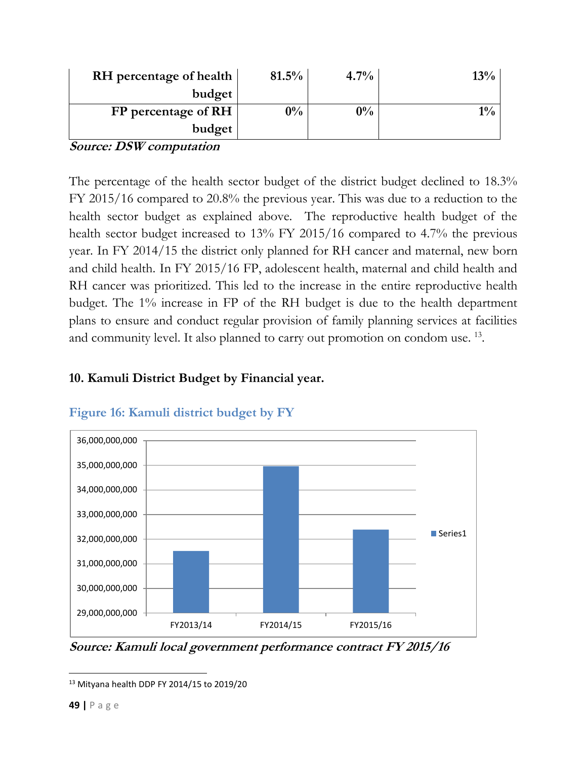| RH percentage of health | 81.5% | 4.7%  | 13%   |
|-------------------------|-------|-------|-------|
| budget                  |       |       |       |
| $FP$ percentage of RH   | $0\%$ | $0\%$ | $1\%$ |
| budget                  |       |       |       |

**Source: DSW computation**

The percentage of the health sector budget of the district budget declined to 18.3% FY 2015/16 compared to 20.8% the previous year. This was due to a reduction to the health sector budget as explained above. The reproductive health budget of the health sector budget increased to 13% FY 2015/16 compared to 4.7% the previous year. In FY 2014/15 the district only planned for RH cancer and maternal, new born and child health. In FY 2015/16 FP, adolescent health, maternal and child health and RH cancer was prioritized. This led to the increase in the entire reproductive health budget. The 1% increase in FP of the RH budget is due to the health department plans to ensure and conduct regular provision of family planning services at facilities and community level. It also planned to carry out promotion on condom use.<sup>13</sup>.

#### <span id="page-48-0"></span>**10. Kamuli District Budget by Financial year.**



## <span id="page-48-1"></span>**Figure 16: Kamuli district budget by FY**

**Source: Kamuli local government performance contract FY 2015/16**

 $\overline{\phantom{a}}$ <sup>13</sup> Mityana health DDP FY 2014/15 to 2019/20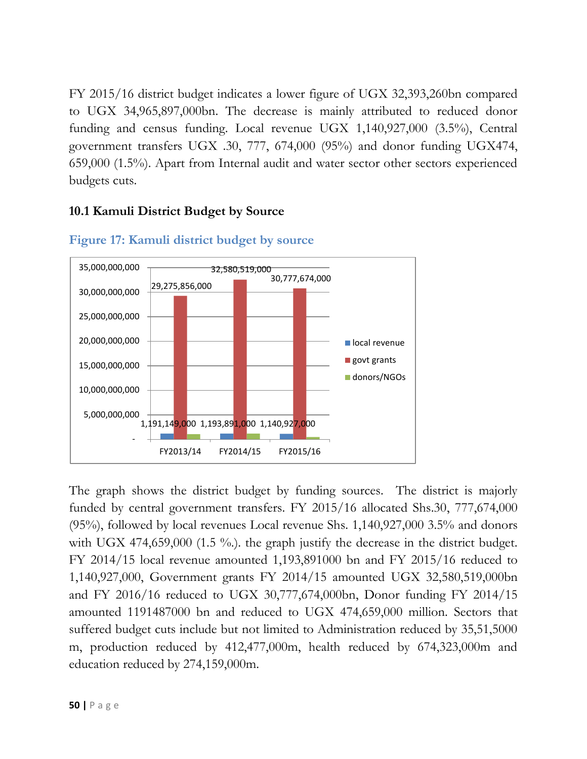FY 2015/16 district budget indicates a lower figure of UGX 32,393,260bn compared to UGX 34,965,897,000bn. The decrease is mainly attributed to reduced donor funding and census funding. Local revenue UGX 1,140,927,000 (3.5%), Central government transfers UGX .30, 777, 674,000 (95%) and donor funding UGX474, 659,000 (1.5%). Apart from Internal audit and water sector other sectors experienced budgets cuts.

## <span id="page-49-0"></span>**10.1 Kamuli District Budget by Source**



#### <span id="page-49-1"></span>**Figure 17: Kamuli district budget by source**

The graph shows the district budget by funding sources. The district is majorly funded by central government transfers. FY 2015/16 allocated Shs.30, 777,674,000 (95%), followed by local revenues Local revenue Shs. 1,140,927,000 3.5% and donors with UGX 474,659,000 (1.5 %). the graph justify the decrease in the district budget. FY 2014/15 local revenue amounted 1,193,891000 bn and FY 2015/16 reduced to 1,140,927,000, Government grants FY 2014/15 amounted UGX 32,580,519,000bn and FY 2016/16 reduced to UGX 30,777,674,000bn, Donor funding FY 2014/15 amounted 1191487000 bn and reduced to UGX 474,659,000 million. Sectors that suffered budget cuts include but not limited to Administration reduced by 35,51,5000 m, production reduced by 412,477,000m, health reduced by 674,323,000m and education reduced by 274,159,000m.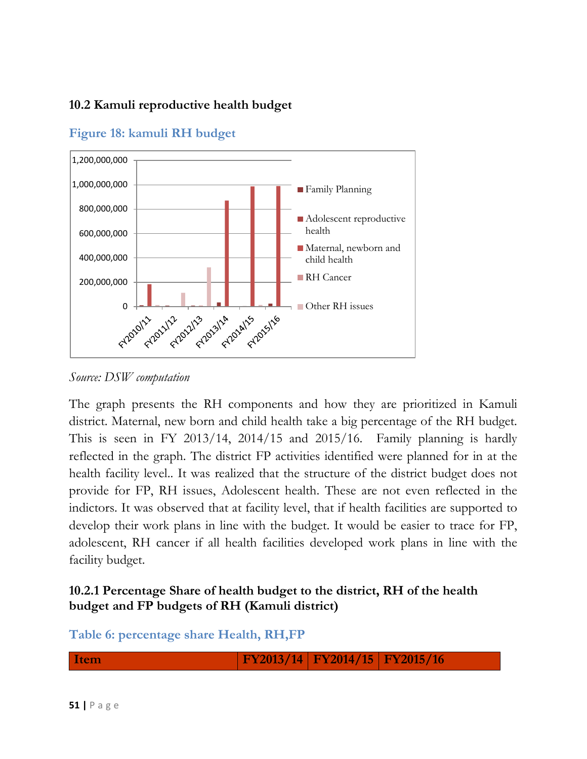#### <span id="page-50-0"></span>**10.2 Kamuli reproductive health budget**



## <span id="page-50-2"></span>**Figure 18: kamuli RH budget**

*Source: DSW computation* 

The graph presents the RH components and how they are prioritized in Kamuli district. Maternal, new born and child health take a big percentage of the RH budget. This is seen in FY 2013/14, 2014/15 and 2015/16. Family planning is hardly reflected in the graph. The district FP activities identified were planned for in at the health facility level.. It was realized that the structure of the district budget does not provide for FP, RH issues, Adolescent health. These are not even reflected in the indictors. It was observed that at facility level, that if health facilities are supported to develop their work plans in line with the budget. It would be easier to trace for FP, adolescent, RH cancer if all health facilities developed work plans in line with the facility budget.

## <span id="page-50-1"></span>**10.2.1 Percentage Share of health budget to the district, RH of the health budget and FP budgets of RH (Kamuli district)**

## **Table 6: percentage share Health, RH,FP**

**Item FY2013/14 FY2014/15 FY2015/16**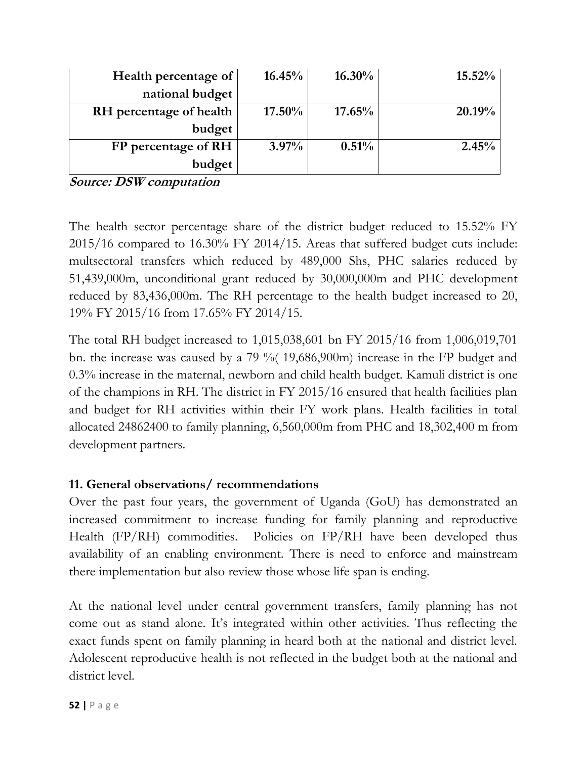| Health percentage of    | 16.45%    | $16.30\%$ | $15.52\%$ |
|-------------------------|-----------|-----------|-----------|
| national budget         |           |           |           |
| RH percentage of health | $17.50\%$ | 17.65%    | 20.19%    |
| budget                  |           |           |           |
| FP percentage of RH     | $3.97\%$  | 0.51%     | 2.45%     |
| budget                  |           |           |           |

**Source: DSW computation**

The health sector percentage share of the district budget reduced to 15.52% FY 2015/16 compared to 16.30% FY 2014/15. Areas that suffered budget cuts include: multsectoral transfers which reduced by 489,000 Shs, PHC salaries reduced by 51,439,000m, unconditional grant reduced by 30,000,000m and PHC development reduced by 83,436,000m. The RH percentage to the health budget increased to 20, 19% FY 2015/16 from 17.65% FY 2014/15.

The total RH budget increased to 1,015,038,601 bn FY 2015/16 from 1,006,019,701 bn. the increase was caused by a 79 %( 19,686,900m) increase in the FP budget and 0.3% increase in the maternal, newborn and child health budget. Kamuli district is one of the champions in RH. The district in FY 2015/16 ensured that health facilities plan and budget for RH activities within their FY work plans. Health facilities in total allocated 24862400 to family planning, 6,560,000m from PHC and 18,302,400 m from development partners.

#### <span id="page-51-0"></span>**11. General observations/ recommendations**

Over the past four years, the government of Uganda (GoU) has demonstrated an increased commitment to increase funding for family planning and reproductive Health (FP/RH) commodities. Policies on FP/RH have been developed thus availability of an enabling environment. There is need to enforce and mainstream there implementation but also review those whose life span is ending.

At the national level under central government transfers, family planning has not come out as stand alone. It's integrated within other activities. Thus reflecting the exact funds spent on family planning in heard both at the national and district level. Adolescent reproductive health is not reflected in the budget both at the national and district level.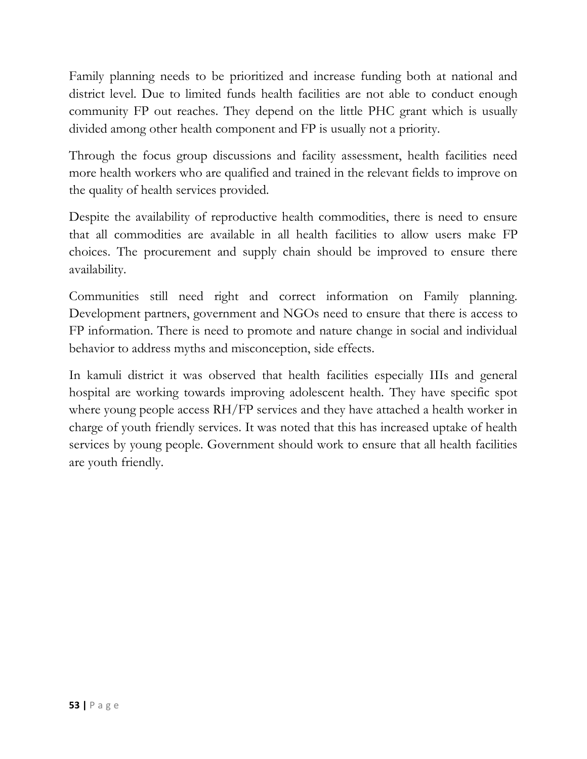Family planning needs to be prioritized and increase funding both at national and district level. Due to limited funds health facilities are not able to conduct enough community FP out reaches. They depend on the little PHC grant which is usually divided among other health component and FP is usually not a priority.

Through the focus group discussions and facility assessment, health facilities need more health workers who are qualified and trained in the relevant fields to improve on the quality of health services provided.

Despite the availability of reproductive health commodities, there is need to ensure that all commodities are available in all health facilities to allow users make FP choices. The procurement and supply chain should be improved to ensure there availability.

Communities still need right and correct information on Family planning. Development partners, government and NGOs need to ensure that there is access to FP information. There is need to promote and nature change in social and individual behavior to address myths and misconception, side effects.

In kamuli district it was observed that health facilities especially IIIs and general hospital are working towards improving adolescent health. They have specific spot where young people access RH/FP services and they have attached a health worker in charge of youth friendly services. It was noted that this has increased uptake of health services by young people. Government should work to ensure that all health facilities are youth friendly.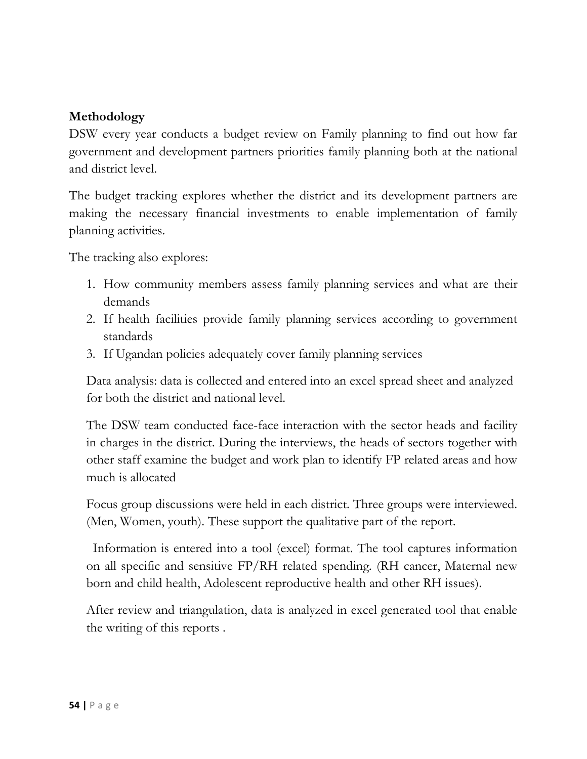#### <span id="page-53-0"></span>**Methodology**

DSW every year conducts a budget review on Family planning to find out how far government and development partners priorities family planning both at the national and district level.

The budget tracking explores whether the district and its development partners are making the necessary financial investments to enable implementation of family planning activities.

The tracking also explores:

- 1. How community members assess family planning services and what are their demands
- 2. If health facilities provide family planning services according to government standards
- 3. If Ugandan policies adequately cover family planning services

Data analysis: data is collected and entered into an excel spread sheet and analyzed for both the district and national level.

The DSW team conducted face-face interaction with the sector heads and facility in charges in the district. During the interviews, the heads of sectors together with other staff examine the budget and work plan to identify FP related areas and how much is allocated

Focus group discussions were held in each district. Three groups were interviewed. (Men, Women, youth). These support the qualitative part of the report.

 Information is entered into a tool (excel) format. The tool captures information on all specific and sensitive FP/RH related spending. (RH cancer, Maternal new born and child health, Adolescent reproductive health and other RH issues).

After review and triangulation, data is analyzed in excel generated tool that enable the writing of this reports .